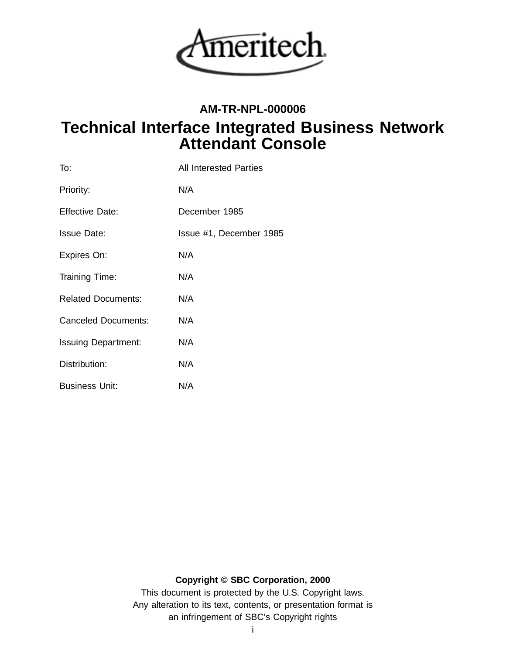

## **AM-TR-NPL-000006**

# **Technical Interface Integrated Business Network Attendant Console**

| To:                        | <b>All Interested Parties</b> |
|----------------------------|-------------------------------|
| Priority:                  | N/A                           |
| <b>Effective Date:</b>     | December 1985                 |
| <b>Issue Date:</b>         | Issue #1, December 1985       |
| Expires On:                | N/A                           |
| Training Time:             | N/A                           |
| <b>Related Documents:</b>  | N/A                           |
| <b>Canceled Documents:</b> | N/A                           |
| <b>Issuing Department:</b> | N/A                           |
| Distribution:              | N/A                           |
| <b>Business Unit:</b>      | N/A                           |

## **Copyright © SBC Corporation, 2000**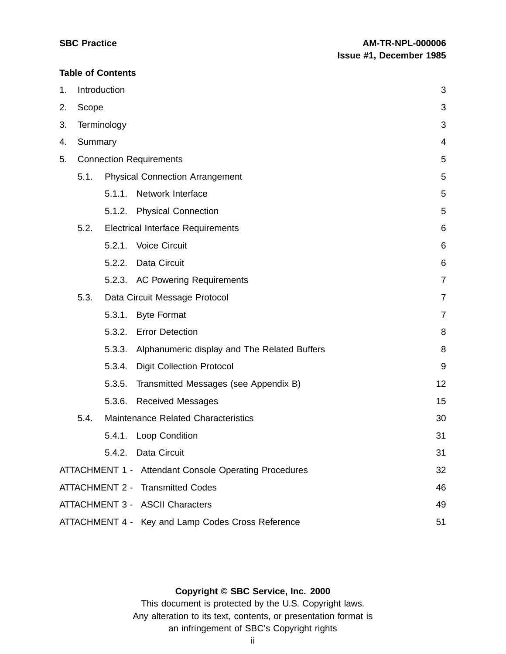#### **Table of Contents**

| 1. |         | Introduction |                                                              | 3              |
|----|---------|--------------|--------------------------------------------------------------|----------------|
| 2. | Scope   |              | 3                                                            |                |
| 3. |         | Terminology  |                                                              | 3              |
| 4. | Summary |              |                                                              | 4              |
| 5. |         |              | <b>Connection Requirements</b>                               | 5              |
|    | 5.1.    |              | <b>Physical Connection Arrangement</b>                       | 5              |
|    |         | 5.1.1.       | Network Interface                                            | 5              |
|    |         |              | 5.1.2. Physical Connection                                   | 5              |
|    | 5.2.    |              | <b>Electrical Interface Requirements</b>                     | 6              |
|    |         | 5.2.1.       | <b>Voice Circuit</b>                                         | 6              |
|    |         | 5.2.2.       | Data Circuit                                                 | 6              |
|    |         |              | 5.2.3. AC Powering Requirements                              | $\overline{7}$ |
|    | 5.3.    |              | Data Circuit Message Protocol                                | $\overline{7}$ |
|    |         | 5.3.1.       | <b>Byte Format</b>                                           | $\overline{7}$ |
|    |         | 5.3.2.       | <b>Error Detection</b>                                       | 8              |
|    |         | 5.3.3.       | Alphanumeric display and The Related Buffers                 | 8              |
|    |         | 5.3.4.       | <b>Digit Collection Protocol</b>                             | 9              |
|    |         | 5.3.5.       | Transmitted Messages (see Appendix B)                        | 12             |
|    |         | 5.3.6.       | <b>Received Messages</b>                                     | 15             |
|    | 5.4.    |              | <b>Maintenance Related Characteristics</b>                   | 30             |
|    |         |              | 5.4.1. Loop Condition                                        | 31             |
|    |         |              | 5.4.2. Data Circuit                                          | 31             |
|    |         |              | <b>ATTACHMENT 1 - Attendant Console Operating Procedures</b> | 32             |
|    |         |              | ATTACHMENT 2 - Transmitted Codes                             | 46             |
|    |         |              | ATTACHMENT 3 - ASCII Characters                              | 49             |
|    |         |              | ATTACHMENT 4 - Key and Lamp Codes Cross Reference            | 51             |

## **Copyright © SBC Service, Inc. 2000**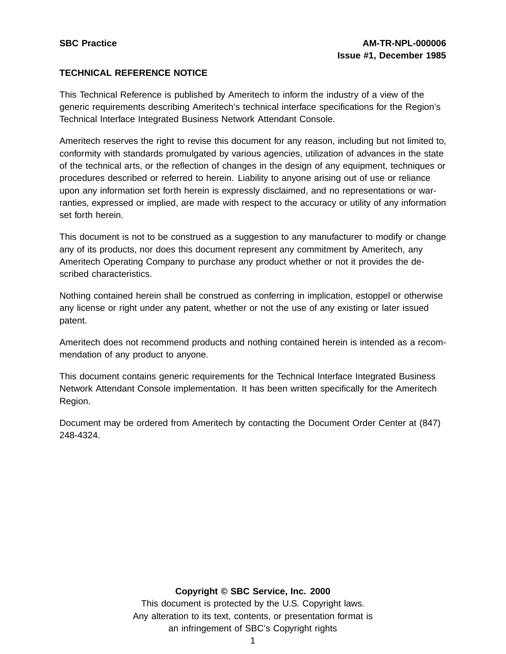## **TECHNICAL REFERENCE NOTICE**

This Technical Reference is published by Ameritech to inform the industry of a view of the generic requirements describing Ameritech's technical interface specifications for the Region's Technical Interface Integrated Business Network Attendant Console.

Ameritech reserves the right to revise this document for any reason, including but not limited to, conformity with standards promulgated by various agencies, utilization of advances in the state of the technical arts, or the reflection of changes in the design of any equipment, techniques or procedures described or referred to herein. Liability to anyone arising out of use or reliance upon any information set forth herein is expressly disclaimed, and no representations or warranties, expressed or implied, are made with respect to the accuracy or utility of any information set forth herein.

This document is not to be construed as a suggestion to any manufacturer to modify or change any of its products, nor does this document represent any commitment by Ameritech, any Ameritech Operating Company to purchase any product whether or not it provides the described characteristics.

Nothing contained herein shall be construed as conferring in implication, estoppel or otherwise any license or right under any patent, whether or not the use of any existing or later issued patent.

Ameritech does not recommend products and nothing contained herein is intended as a recommendation of any product to anyone.

This document contains generic requirements for the Technical Interface Integrated Business Network Attendant Console implementation. It has been written specifically for the Ameritech Region.

Document may be ordered from Ameritech by contacting the Document Order Center at (847) 248-4324.

**Copyright © SBC Service, Inc. 2000**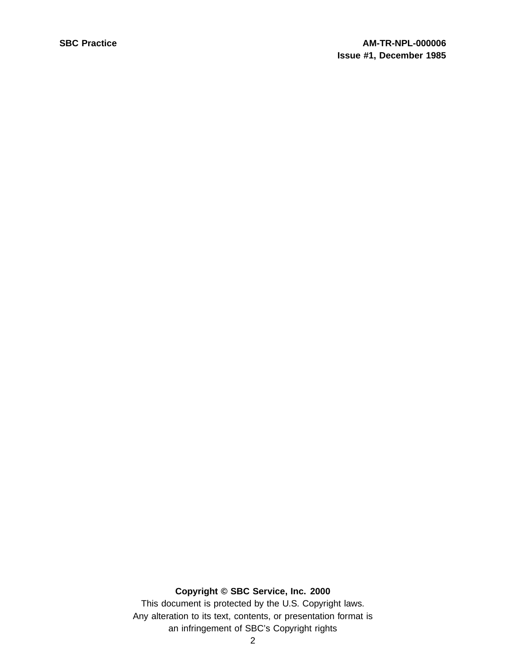## **Copyright © SBC Service, Inc. 2000**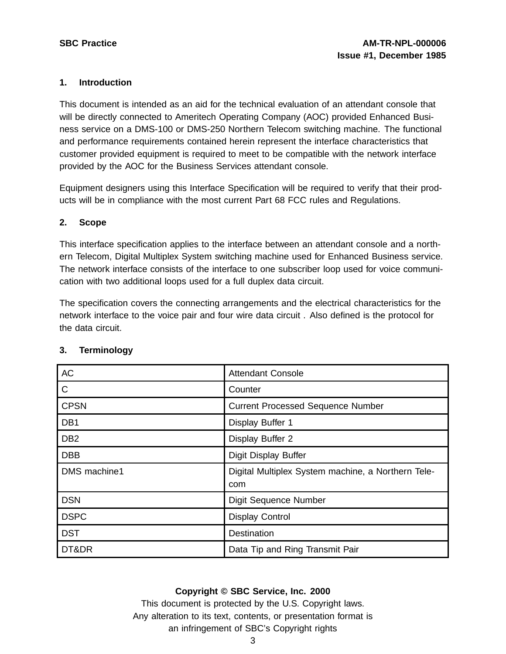#### **1. Introduction**

This document is intended as an aid for the technical evaluation of an attendant console that will be directly connected to Ameritech Operating Company (AOC) provided Enhanced Business service on a DMS-100 or DMS-250 Northern Telecom switching machine. The functional and performance requirements contained herein represent the interface characteristics that customer provided equipment is required to meet to be compatible with the network interface provided by the AOC for the Business Services attendant console.

Equipment designers using this Interface Specification will be required to verify that their products will be in compliance with the most current Part 68 FCC rules and Regulations.

#### **2. Scope**

This interface specification applies to the interface between an attendant console and a northern Telecom, Digital Multiplex System switching machine used for Enhanced Business service. The network interface consists of the interface to one subscriber loop used for voice communication with two additional loops used for a full duplex data circuit.

The specification covers the connecting arrangements and the electrical characteristics for the network interface to the voice pair and four wire data circuit . Also defined is the protocol for the data circuit.

| <b>AC</b>       | <b>Attendant Console</b>                                  |  |
|-----------------|-----------------------------------------------------------|--|
| $\mathsf{C}$    | Counter                                                   |  |
| <b>CPSN</b>     | <b>Current Processed Sequence Number</b>                  |  |
| DB1             | Display Buffer 1                                          |  |
| DB <sub>2</sub> | Display Buffer 2                                          |  |
| <b>DBB</b>      | Digit Display Buffer                                      |  |
| DMS machine1    | Digital Multiplex System machine, a Northern Tele-<br>com |  |
| <b>DSN</b>      | Digit Sequence Number                                     |  |
| <b>DSPC</b>     | <b>Display Control</b>                                    |  |
| <b>DST</b>      | Destination                                               |  |
| DT&DR           | Data Tip and Ring Transmit Pair                           |  |

### **3. Terminology**

### **Copyright © SBC Service, Inc. 2000**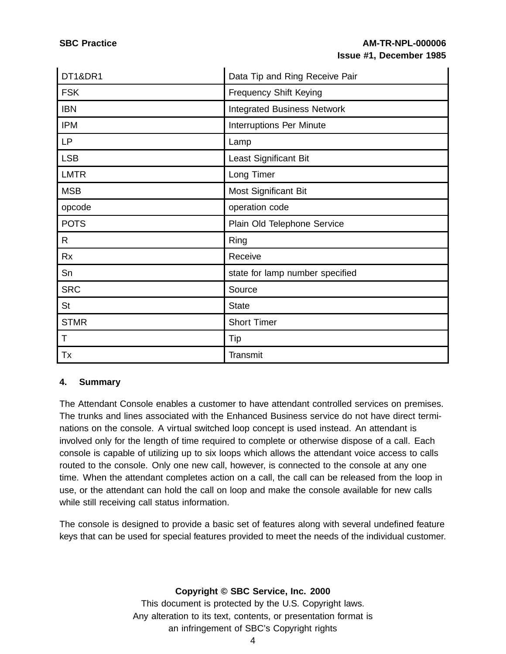| DT1&DR1     | Data Tip and Ring Receive Pair     |  |
|-------------|------------------------------------|--|
| <b>FSK</b>  | <b>Frequency Shift Keying</b>      |  |
| <b>IBN</b>  | <b>Integrated Business Network</b> |  |
| <b>IPM</b>  | <b>Interruptions Per Minute</b>    |  |
| LP          | Lamp                               |  |
| <b>LSB</b>  | Least Significant Bit              |  |
| <b>LMTR</b> | Long Timer                         |  |
| <b>MSB</b>  | Most Significant Bit               |  |
| opcode      | operation code                     |  |
| <b>POTS</b> | Plain Old Telephone Service        |  |
| R           | Ring                               |  |
| Rx          | Receive                            |  |
| Sn          | state for lamp number specified    |  |
| <b>SRC</b>  | Source                             |  |
| <b>St</b>   | <b>State</b>                       |  |
| <b>STMR</b> | <b>Short Timer</b>                 |  |
| $\top$      | Tip                                |  |
| Tx          | Transmit                           |  |

### **4. Summary**

The Attendant Console enables a customer to have attendant controlled services on premises. The trunks and lines associated with the Enhanced Business service do not have direct terminations on the console. A virtual switched loop concept is used instead. An attendant is involved only for the length of time required to complete or otherwise dispose of a call. Each console is capable of utilizing up to six loops which allows the attendant voice access to calls routed to the console. Only one new call, however, is connected to the console at any one time. When the attendant completes action on a call, the call can be released from the loop in use, or the attendant can hold the call on loop and make the console available for new calls while still receiving call status information.

The console is designed to provide a basic set of features along with several undefined feature keys that can be used for special features provided to meet the needs of the individual customer.

### **Copyright © SBC Service, Inc. 2000**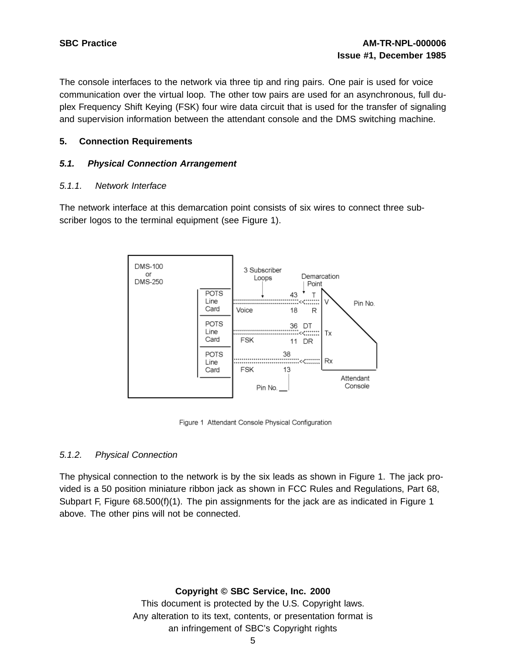The console interfaces to the network via three tip and ring pairs. One pair is used for voice communication over the virtual loop. The other tow pairs are used for an asynchronous, full duplex Frequency Shift Keying (FSK) four wire data circuit that is used for the transfer of signaling and supervision information between the attendant console and the DMS switching machine.

## **5. Connection Requirements**

## **5.1. Physical Connection Arrangement**

### 5.1.1. Network Interface

The network interface at this demarcation point consists of six wires to connect three subscriber logos to the terminal equipment (see Figure 1).



Figure 1 Attendant Console Physical Configuration

## 5.1.2. Physical Connection

The physical connection to the network is by the six leads as shown in Figure 1. The jack provided is a 50 position miniature ribbon jack as shown in FCC Rules and Regulations, Part 68, Subpart F, Figure 68.500(f)(1). The pin assignments for the jack are as indicated in Figure 1 above. The other pins will not be connected.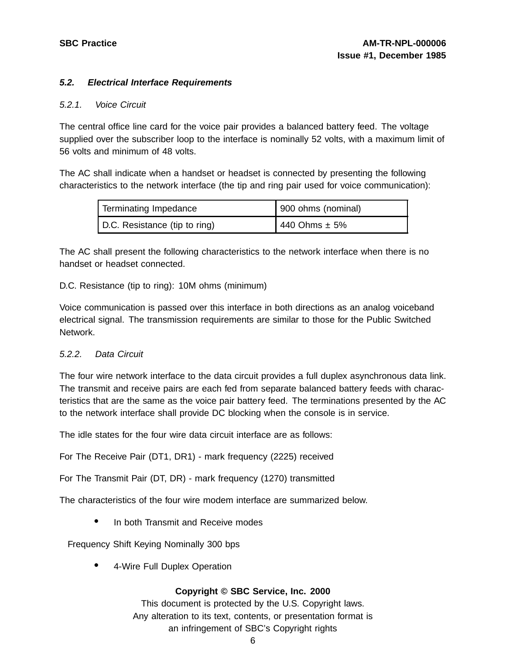## **5.2. Electrical Interface Requirements**

### 5.2.1. Voice Circuit

The central office line card for the voice pair provides a balanced battery feed. The voltage supplied over the subscriber loop to the interface is nominally 52 volts, with a maximum limit of 56 volts and minimum of 48 volts.

The AC shall indicate when a handset or headset is connected by presenting the following characteristics to the network interface (the tip and ring pair used for voice communication):

| Terminating Impedance         | 900 ohms (nominal) |
|-------------------------------|--------------------|
| D.C. Resistance (tip to ring) | 440 Ohms $\pm$ 5%  |

The AC shall present the following characteristics to the network interface when there is no handset or headset connected.

D.C. Resistance (tip to ring): 10M ohms (minimum)

Voice communication is passed over this interface in both directions as an analog voiceband electrical signal. The transmission requirements are similar to those for the Public Switched Network.

### 5.2.2. Data Circuit

The four wire network interface to the data circuit provides a full duplex asynchronous data link. The transmit and receive pairs are each fed from separate balanced battery feeds with characteristics that are the same as the voice pair battery feed. The terminations presented by the AC to the network interface shall provide DC blocking when the console is in service.

The idle states for the four wire data circuit interface are as follows:

For The Receive Pair (DT1, DR1) - mark frequency (2225) received

For The Transmit Pair (DT, DR) - mark frequency (1270) transmitted

The characteristics of the four wire modem interface are summarized below.

In both Transmit and Receive modes

Frequency Shift Keying Nominally 300 bps

• 4-Wire Full Duplex Operation

### **Copyright © SBC Service, Inc. 2000**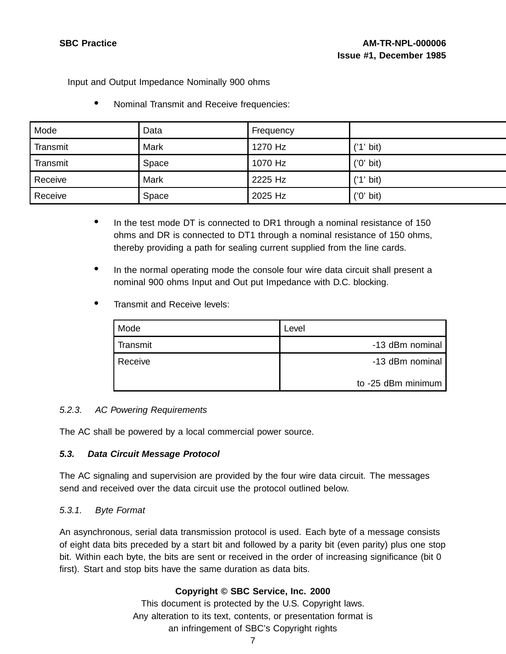Input and Output Impedance Nominally 900 ohms

• Nominal Transmit and Receive frequencies:

| Mode     | Data  | Frequency |           |
|----------|-------|-----------|-----------|
| Transmit | Mark  | 1270 Hz   | ('1' bit) |
| Transmit | Space | 1070 Hz   | ('0' bit) |
| Receive  | Mark  | 2225 Hz   | ('1' bit) |
| Receive  | Space | 2025 Hz   | ('0' bit) |

- In the test mode DT is connected to DR1 through a nominal resistance of 150 ohms and DR is connected to DT1 through a nominal resistance of 150 ohms, thereby providing a path for sealing current supplied from the line cards.
- In the normal operating mode the console four wire data circuit shall present a nominal 900 ohms Input and Out put Impedance with D.C. blocking.
- Transmit and Receive levels:

| Mode     | Level              |
|----------|--------------------|
| Transmit | -13 dBm nominal    |
| Receive  | -13 dBm nominal    |
|          | to -25 dBm minimum |

### 5.2.3. AC Powering Requirements

The AC shall be powered by a local commercial power source.

### **5.3. Data Circuit Message Protocol**

The AC signaling and supervision are provided by the four wire data circuit. The messages send and received over the data circuit use the protocol outlined below.

### 5.3.1. Byte Format

An asynchronous, serial data transmission protocol is used. Each byte of a message consists of eight data bits preceded by a start bit and followed by a parity bit (even parity) plus one stop bit. Within each byte, the bits are sent or received in the order of increasing significance (bit 0 first). Start and stop bits have the same duration as data bits.

### **Copyright © SBC Service, Inc. 2000**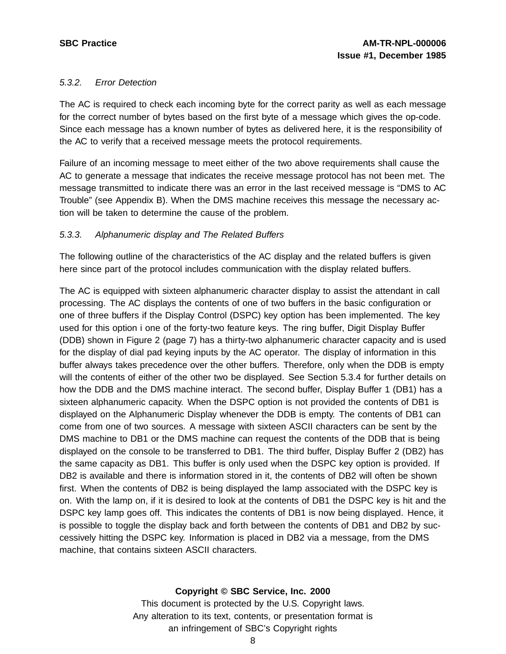## 5.3.2. Error Detection

The AC is required to check each incoming byte for the correct parity as well as each message for the correct number of bytes based on the first byte of a message which gives the op-code. Since each message has a known number of bytes as delivered here, it is the responsibility of the AC to verify that a received message meets the protocol requirements.

Failure of an incoming message to meet either of the two above requirements shall cause the AC to generate a message that indicates the receive message protocol has not been met. The message transmitted to indicate there was an error in the last received message is "DMS to AC Trouble" (see Appendix B). When the DMS machine receives this message the necessary action will be taken to determine the cause of the problem.

## 5.3.3. Alphanumeric display and The Related Buffers

The following outline of the characteristics of the AC display and the related buffers is given here since part of the protocol includes communication with the display related buffers.

The AC is equipped with sixteen alphanumeric character display to assist the attendant in call processing. The AC displays the contents of one of two buffers in the basic configuration or one of three buffers if the Display Control (DSPC) key option has been implemented. The key used for this option i one of the forty-two feature keys. The ring buffer, Digit Display Buffer (DDB) shown in Figure 2 (page 7) has a thirty-two alphanumeric character capacity and is used for the display of dial pad keying inputs by the AC operator. The display of information in this buffer always takes precedence over the other buffers. Therefore, only when the DDB is empty will the contents of either of the other two be displayed. See Section 5.3.4 for further details on how the DDB and the DMS machine interact. The second buffer, Display Buffer 1 (DB1) has a sixteen alphanumeric capacity. When the DSPC option is not provided the contents of DB1 is displayed on the Alphanumeric Display whenever the DDB is empty. The contents of DB1 can come from one of two sources. A message with sixteen ASCII characters can be sent by the DMS machine to DB1 or the DMS machine can request the contents of the DDB that is being displayed on the console to be transferred to DB1. The third buffer, Display Buffer 2 (DB2) has the same capacity as DB1. This buffer is only used when the DSPC key option is provided. If DB2 is available and there is information stored in it, the contents of DB2 will often be shown first. When the contents of DB2 is being displayed the lamp associated with the DSPC key is on. With the lamp on, if it is desired to look at the contents of DB1 the DSPC key is hit and the DSPC key lamp goes off. This indicates the contents of DB1 is now being displayed. Hence, it is possible to toggle the display back and forth between the contents of DB1 and DB2 by successively hitting the DSPC key. Information is placed in DB2 via a message, from the DMS machine, that contains sixteen ASCII characters.

## **Copyright © SBC Service, Inc. 2000**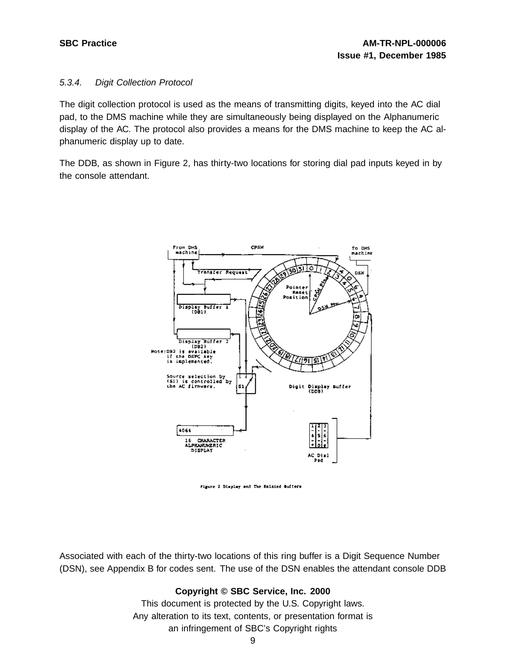### 5.3.4. Digit Collection Protocol

The digit collection protocol is used as the means of transmitting digits, keyed into the AC dial pad, to the DMS machine while they are simultaneously being displayed on the Alphanumeric display of the AC. The protocol also provides a means for the DMS machine to keep the AC alphanumeric display up to date.

The DDB, as shown in Figure 2, has thirty-two locations for storing dial pad inputs keyed in by the console attendant.



Figure 2 Display and The Related Buffere

Associated with each of the thirty-two locations of this ring buffer is a Digit Sequence Number (DSN), see Appendix B for codes sent. The use of the DSN enables the attendant console DDB

### **Copyright © SBC Service, Inc. 2000**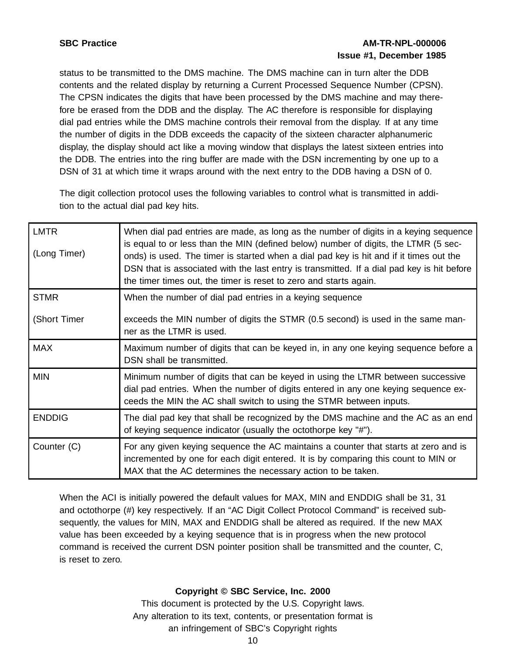## **SBC Practice AM-TR-NPL-000006 Issue #1, December 1985**

status to be transmitted to the DMS machine. The DMS machine can in turn alter the DDB contents and the related display by returning a Current Processed Sequence Number (CPSN). The CPSN indicates the digits that have been processed by the DMS machine and may therefore be erased from the DDB and the display. The AC therefore is responsible for displaying dial pad entries while the DMS machine controls their removal from the display. If at any time the number of digits in the DDB exceeds the capacity of the sixteen character alphanumeric display, the display should act like a moving window that displays the latest sixteen entries into the DDB. The entries into the ring buffer are made with the DSN incrementing by one up to a DSN of 31 at which time it wraps around with the next entry to the DDB having a DSN of 0.

The digit collection protocol uses the following variables to control what is transmitted in addition to the actual dial pad key hits.

| <b>LMTR</b><br>(Long Timer) | When dial pad entries are made, as long as the number of digits in a keying sequence<br>is equal to or less than the MIN (defined below) number of digits, the LTMR (5 sec-<br>onds) is used. The timer is started when a dial pad key is hit and if it times out the<br>DSN that is associated with the last entry is transmitted. If a dial pad key is hit before<br>the timer times out, the timer is reset to zero and starts again. |  |
|-----------------------------|------------------------------------------------------------------------------------------------------------------------------------------------------------------------------------------------------------------------------------------------------------------------------------------------------------------------------------------------------------------------------------------------------------------------------------------|--|
| <b>STMR</b>                 | When the number of dial pad entries in a keying sequence                                                                                                                                                                                                                                                                                                                                                                                 |  |
| (Short Timer                | exceeds the MIN number of digits the STMR (0.5 second) is used in the same man-<br>ner as the LTMR is used.                                                                                                                                                                                                                                                                                                                              |  |
| <b>MAX</b>                  | Maximum number of digits that can be keyed in, in any one keying sequence before a<br>DSN shall be transmitted.                                                                                                                                                                                                                                                                                                                          |  |
| <b>MIN</b>                  | Minimum number of digits that can be keyed in using the LTMR between successive<br>dial pad entries. When the number of digits entered in any one keying sequence ex-<br>ceeds the MIN the AC shall switch to using the STMR between inputs.                                                                                                                                                                                             |  |
| <b>ENDDIG</b>               | The dial pad key that shall be recognized by the DMS machine and the AC as an end<br>of keying sequence indicator (usually the octothorpe key "#").                                                                                                                                                                                                                                                                                      |  |
| Counter (C)                 | For any given keying sequence the AC maintains a counter that starts at zero and is<br>incremented by one for each digit entered. It is by comparing this count to MIN or<br>MAX that the AC determines the necessary action to be taken.                                                                                                                                                                                                |  |

When the ACI is initially powered the default values for MAX, MIN and ENDDIG shall be 31, 31 and octothorpe (#) key respectively. If an "AC Digit Collect Protocol Command" is received subsequently, the values for MIN, MAX and ENDDIG shall be altered as required. If the new MAX value has been exceeded by a keying sequence that is in progress when the new protocol command is received the current DSN pointer position shall be transmitted and the counter, C, is reset to zero.

### **Copyright © SBC Service, Inc. 2000**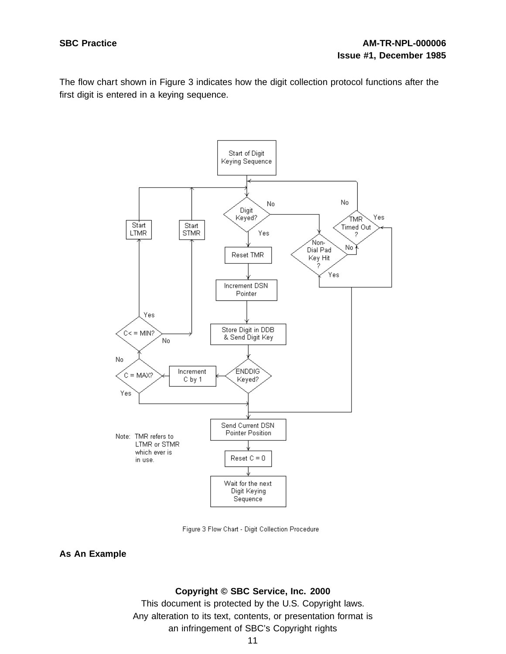The flow chart shown in Figure 3 indicates how the digit collection protocol functions after the first digit is entered in a keying sequence.



Figure 3 Flow Chart - Digit Collection Procedure

### **As An Example**

### **Copyright © SBC Service, Inc. 2000**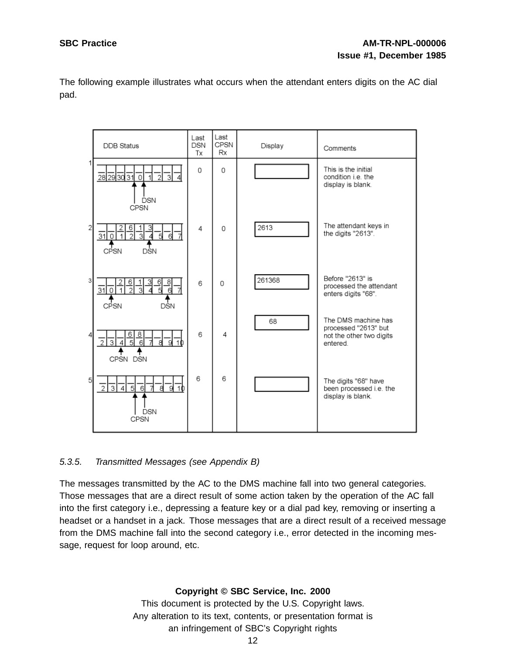The following example illustrates what occurs when the attendant enters digits on the AC dial pad.



### 5.3.5. Transmitted Messages (see Appendix B)

The messages transmitted by the AC to the DMS machine fall into two general categories. Those messages that are a direct result of some action taken by the operation of the AC fall into the first category i.e., depressing a feature key or a dial pad key, removing or inserting a headset or a handset in a jack. Those messages that are a direct result of a received message from the DMS machine fall into the second category i.e., error detected in the incoming message, request for loop around, etc.

### **Copyright © SBC Service, Inc. 2000**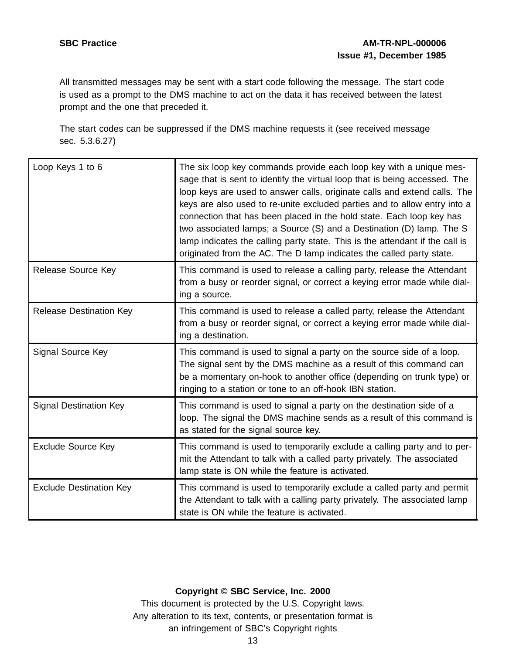All transmitted messages may be sent with a start code following the message. The start code is used as a prompt to the DMS machine to act on the data it has received between the latest prompt and the one that preceded it.

The start codes can be suppressed if the DMS machine requests it (see received message sec. 5.3.6.27)

| Loop Keys 1 to 6               | The six loop key commands provide each loop key with a unique mes-<br>sage that is sent to identify the virtual loop that is being accessed. The<br>loop keys are used to answer calls, originate calls and extend calls. The<br>keys are also used to re-unite excluded parties and to allow entry into a<br>connection that has been placed in the hold state. Each loop key has<br>two associated lamps; a Source (S) and a Destination (D) lamp. The S<br>lamp indicates the calling party state. This is the attendant if the call is<br>originated from the AC. The D lamp indicates the called party state. |  |
|--------------------------------|--------------------------------------------------------------------------------------------------------------------------------------------------------------------------------------------------------------------------------------------------------------------------------------------------------------------------------------------------------------------------------------------------------------------------------------------------------------------------------------------------------------------------------------------------------------------------------------------------------------------|--|
| Release Source Key             | This command is used to release a calling party, release the Attendant<br>from a busy or reorder signal, or correct a keying error made while dial-<br>ing a source.                                                                                                                                                                                                                                                                                                                                                                                                                                               |  |
| <b>Release Destination Key</b> | This command is used to release a called party, release the Attendant<br>from a busy or reorder signal, or correct a keying error made while dial-<br>ing a destination.                                                                                                                                                                                                                                                                                                                                                                                                                                           |  |
| Signal Source Key              | This command is used to signal a party on the source side of a loop.<br>The signal sent by the DMS machine as a result of this command can<br>be a momentary on-hook to another office (depending on trunk type) or<br>ringing to a station or tone to an off-hook IBN station.                                                                                                                                                                                                                                                                                                                                    |  |
| <b>Signal Destination Key</b>  | This command is used to signal a party on the destination side of a<br>loop. The signal the DMS machine sends as a result of this command is<br>as stated for the signal source key.                                                                                                                                                                                                                                                                                                                                                                                                                               |  |
| <b>Exclude Source Key</b>      | This command is used to temporarily exclude a calling party and to per-<br>mit the Attendant to talk with a called party privately. The associated<br>lamp state is ON while the feature is activated.                                                                                                                                                                                                                                                                                                                                                                                                             |  |
| <b>Exclude Destination Key</b> | This command is used to temporarily exclude a called party and permit<br>the Attendant to talk with a calling party privately. The associated lamp<br>state is ON while the feature is activated.                                                                                                                                                                                                                                                                                                                                                                                                                  |  |

### **Copyright © SBC Service, Inc. 2000**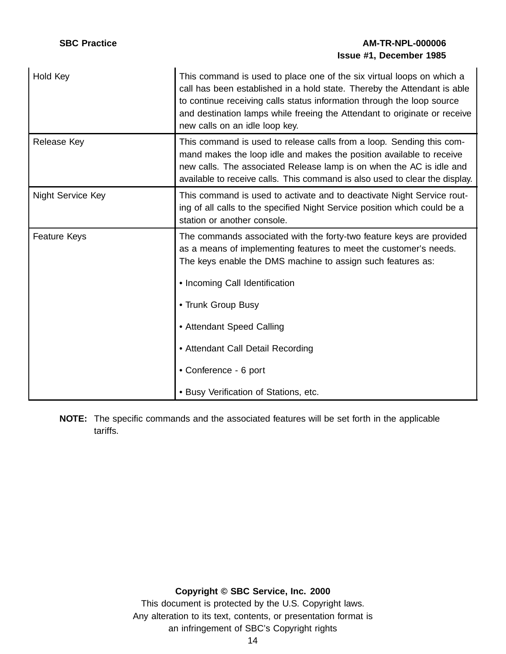| This command is used to place one of the six virtual loops on which a<br>call has been established in a hold state. Thereby the Attendant is able<br>to continue receiving calls status information through the loop source<br>and destination lamps while freeing the Attendant to originate or receive<br>new calls on an idle loop key.                                                           |  |
|------------------------------------------------------------------------------------------------------------------------------------------------------------------------------------------------------------------------------------------------------------------------------------------------------------------------------------------------------------------------------------------------------|--|
| This command is used to release calls from a loop. Sending this com-<br>mand makes the loop idle and makes the position available to receive<br>new calls. The associated Release lamp is on when the AC is idle and<br>available to receive calls. This command is also used to clear the display.                                                                                                  |  |
| This command is used to activate and to deactivate Night Service rout-<br>ing of all calls to the specified Night Service position which could be a<br>station or another console.                                                                                                                                                                                                                   |  |
| The commands associated with the forty-two feature keys are provided<br>as a means of implementing features to meet the customer's needs.<br>The keys enable the DMS machine to assign such features as:<br>• Incoming Call Identification<br>• Trunk Group Busy<br>• Attendant Speed Calling<br>• Attendant Call Detail Recording<br>• Conference - 6 port<br>• Busy Verification of Stations, etc. |  |
|                                                                                                                                                                                                                                                                                                                                                                                                      |  |

**NOTE:** The specific commands and the associated features will be set forth in the applicable tariffs.

**Copyright © SBC Service, Inc. 2000**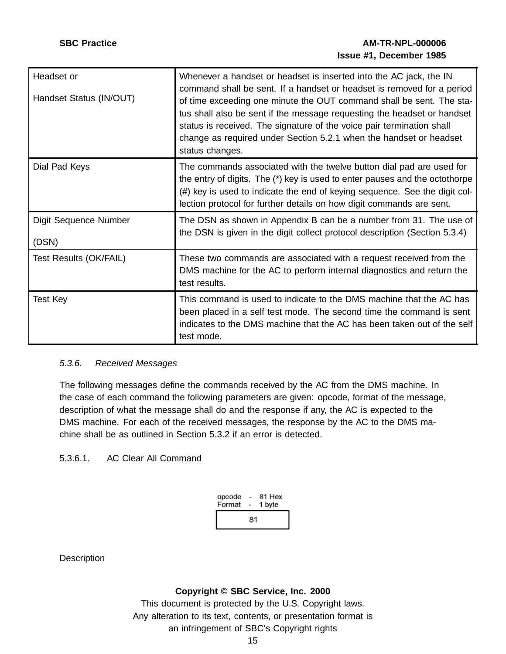## **SBC Practice AM-TR-NPL-000006 Issue #1, December 1985**

| Headset or<br>Handset Status (IN/OUT) | Whenever a handset or headset is inserted into the AC jack, the IN<br>command shall be sent. If a handset or headset is removed for a period<br>of time exceeding one minute the OUT command shall be sent. The sta-<br>tus shall also be sent if the message requesting the headset or handset<br>status is received. The signature of the voice pair termination shall<br>change as required under Section 5.2.1 when the handset or headset<br>status changes. |
|---------------------------------------|-------------------------------------------------------------------------------------------------------------------------------------------------------------------------------------------------------------------------------------------------------------------------------------------------------------------------------------------------------------------------------------------------------------------------------------------------------------------|
| Dial Pad Keys                         | The commands associated with the twelve button dial pad are used for<br>the entry of digits. The (*) key is used to enter pauses and the octothorpe<br>(#) key is used to indicate the end of keying sequence. See the digit col-<br>lection protocol for further details on how digit commands are sent.                                                                                                                                                         |
| Digit Sequence Number<br>(DSN)        | The DSN as shown in Appendix B can be a number from 31. The use of<br>the DSN is given in the digit collect protocol description (Section 5.3.4)                                                                                                                                                                                                                                                                                                                  |
| Test Results (OK/FAIL)                | These two commands are associated with a request received from the<br>DMS machine for the AC to perform internal diagnostics and return the<br>test results.                                                                                                                                                                                                                                                                                                      |
| Test Key                              | This command is used to indicate to the DMS machine that the AC has<br>been placed in a self test mode. The second time the command is sent<br>indicates to the DMS machine that the AC has been taken out of the self<br>test mode.                                                                                                                                                                                                                              |

## 5.3.6. Received Messages

The following messages define the commands received by the AC from the DMS machine. In the case of each command the following parameters are given: opcode, format of the message, description of what the message shall do and the response if any, the AC is expected to the DMS machine. For each of the received messages, the response by the AC to the DMS machine shall be as outlined in Section 5.3.2 if an error is detected.

## 5.3.6.1. AC Clear All Command

| opcode<br>Format |    | 81 Hex<br>1 byte |
|------------------|----|------------------|
|                  | 81 |                  |

**Description** 

## **Copyright © SBC Service, Inc. 2000**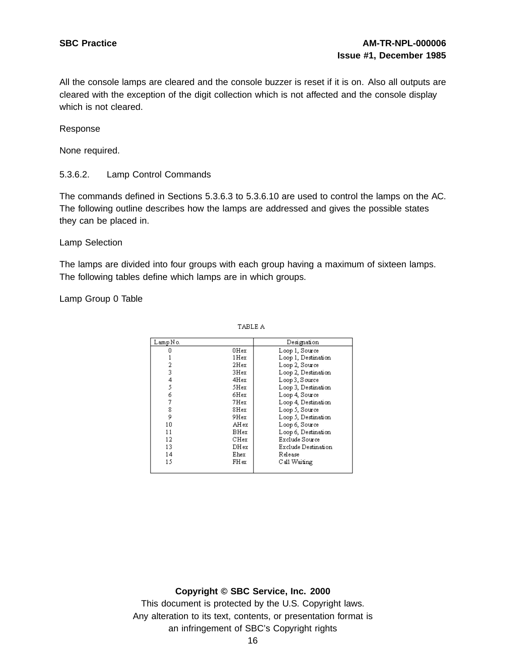All the console lamps are cleared and the console buzzer is reset if it is on. Also all outputs are cleared with the exception of the digit collection which is not affected and the console display which is not cleared.

#### Response

None required.

#### 5.3.6.2. Lamp Control Commands

The commands defined in Sections 5.3.6.3 to 5.3.6.10 are used to control the lamps on the AC. The following outline describes how the lamps are addressed and gives the possible states they can be placed in.

#### Lamp Selection

The lamps are divided into four groups with each group having a maximum of sixteen lamps. The following tables define which lamps are in which groups.

Lamp Group 0 Table

| Lamp No. |                  | Designation         |
|----------|------------------|---------------------|
| п        | 0Hex             | Loop 1, Source      |
|          | 1 Hex            | Loop 1, Destination |
| 2        | 2Hex             | Loop 2, Source      |
| 3        | 3Hex             | Loop 2, Destination |
| 4        | 4Hex             | Loop3, Source       |
| 5        | 5Hex             | Loop 3, Destination |
| 6        | 6Hex             | Loop 4, Source      |
| 7        | 7Hex             | Loop 4, Destination |
| 8        | 8Hex             | Loop 5, Source      |
| 9        | 9Hex             | Loop 5, Destination |
| 10       | AH ex            | Loop 6, Source      |
| 11       | <b>BHex</b>      | Loop 6, Destination |
| 12       | CH <sub>ex</sub> | Exclude Source      |
| 13       | DH ex            | Exclude Destination |
| 14       | Ehex             | Release             |
| 15       | $FH$ ex          | Call Waiting        |
|          |                  |                     |

TABLE A

#### **Copyright © SBC Service, Inc. 2000**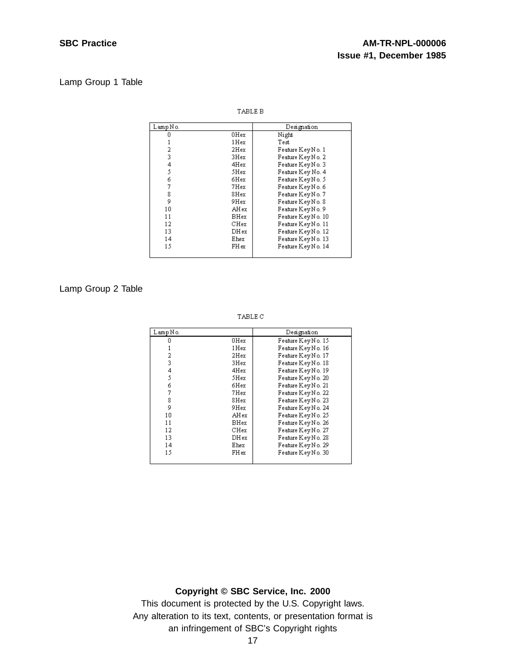## Lamp Group 1 Table

#### TABLE B

| Lamp No. |             | Designation        |
|----------|-------------|--------------------|
| п        | 0Hex        | Night              |
|          | 1 Hex       | Test               |
| 2        | 2Hex        | Feature Key No. 1  |
| 3        | 3Hex        | Feature Key No. 2  |
| 4        | 4Hex        | Feature Key No. 3  |
| 5        | 5Hex        | Feature Key No. 4  |
| 6        | 6Hex        | Feature Key No. 5  |
| 7        | 7Hex        | Feature Key No. 6  |
| 8        | 8Hex        | Feature Key No. 7  |
| 9        | 9Hex        | Feature Key No. 8  |
| 10       | AH ex       | Feature Key No. 9  |
| 11       | <b>BHex</b> | Feature Key No. 10 |
| 12       | CHex        | Feature Key No. 11 |
| 13       | DHex        | Feature Key No. 12 |
| 14       | Ehex        | Feature Key No. 13 |
| 15       | FH ex       | Feature Key No. 14 |
|          |             |                    |

#### Lamp Group 2 Table

TABLE C

| LampNo. |             | Designation        |
|---------|-------------|--------------------|
| n       | 0Hex        | Feature Key No. 15 |
|         | 1 Hex       | Feature Key No. 16 |
| 2       | 2Hex        | Feature Key No. 17 |
| 3       | 3Hex        | Feature Key No. 18 |
| 4       | 4Hex        | Feature Key No. 19 |
| 5       | 5Hex        | Feature Key No. 20 |
| 6       | 6Hex        | Feature Key No. 21 |
| 7       | 7Hex        | Feature Key No. 22 |
| 8       | 8Hex        | Feature Key No. 23 |
| 9       | 9Hex        | Feature Key No. 24 |
| 10      | AH ex       | Feature Key No. 25 |
| 11      | <b>BHex</b> | Feature Key No. 26 |
| 12      | CHex        | Feature Key No. 27 |
| 13      | DHex        | Feature Key No. 28 |
| 14      | Ehex        | Feature Key No. 29 |
| 15      | FH ex       | Feature Key No. 30 |
|         |             |                    |

## **Copyright © SBC Service, Inc. 2000**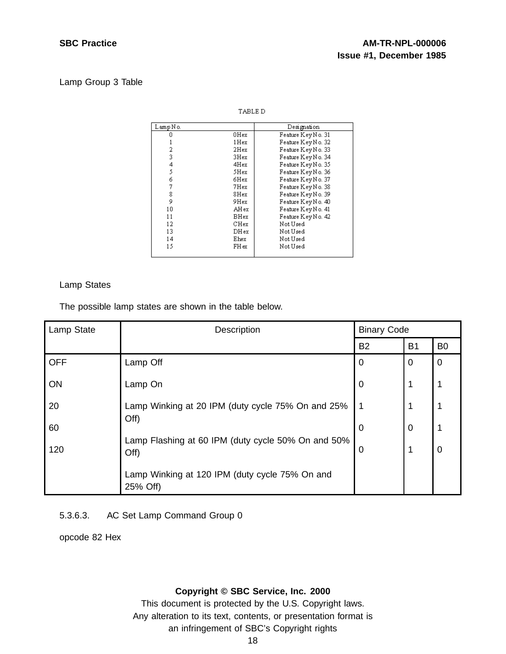## Lamp Group 3 Table

#### TABLE D

| LampNo. |             | Designation        |
|---------|-------------|--------------------|
| п       | 0Hex        | Feature Key No. 31 |
|         | 1 Hex       | Feature Key No. 32 |
| 2       | 2Hex        | Feature Key No. 33 |
| 3       | 3Hex        | Feature Key No. 34 |
| 4       | 4Hex        | Feature Key No. 35 |
| 5       | 5Hex        | Feature Key No. 36 |
| 6       | 6Hex        | Feature Key No. 37 |
| 7       | 7Hex        | Feature Key No. 38 |
| 8       | 8Hex        | Feature Key No. 39 |
| 9       | 9Hex        | Feature Key No. 40 |
| 10      | AH ex       | Feature Key No. 41 |
| 11      | <b>BHex</b> | Feature Key No. 42 |
| 12      | CHex        | Not Used           |
| 13      | DHex        | Not Used           |
| 14      | Ehex        | Not Used           |
| 15      | FH ex       | Not Used           |
|         |             |                    |

#### Lamp States

The possible lamp states are shown in the table below.

| Lamp State | Description                                                | <b>Binary Code</b> |             |                |
|------------|------------------------------------------------------------|--------------------|-------------|----------------|
|            |                                                            | <b>B2</b>          | <b>B1</b>   | B <sub>0</sub> |
| <b>OFF</b> | Lamp Off                                                   | $\Omega$           | $\mathbf 0$ | 0              |
| ON         | Lamp On                                                    | 0                  |             |                |
| 20         | Lamp Winking at 20 IPM (duty cycle 75% On and 25%          | $^{\circ}$ 1       |             |                |
| 60         | Off)                                                       | $\Omega$           | $\mathbf 0$ |                |
| 120        | Lamp Flashing at 60 IPM (duty cycle 50% On and 50%<br>Off) | 0                  |             | 0              |
|            | Lamp Winking at 120 IPM (duty cycle 75% On and<br>25% Off) |                    |             |                |

## 5.3.6.3. AC Set Lamp Command Group 0

opcode 82 Hex

## **Copyright © SBC Service, Inc. 2000**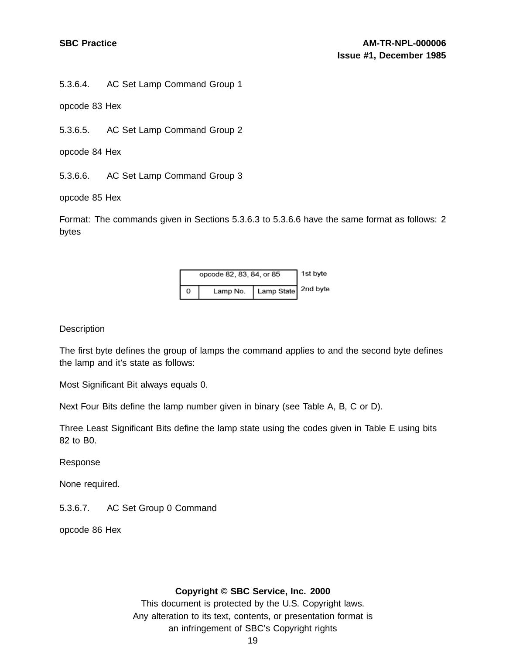5.3.6.4. AC Set Lamp Command Group 1

opcode 83 Hex

5.3.6.5. AC Set Lamp Command Group 2

opcode 84 Hex

5.3.6.6. AC Set Lamp Command Group 3

opcode 85 Hex

Format: The commands given in Sections 5.3.6.3 to 5.3.6.6 have the same format as follows: 2 bytes

| opcode 82, 83, 84, or 85 | 1st byte |                     |
|--------------------------|----------|---------------------|
| O                        | Lamp No. | Lamp State 2nd byte |

#### **Description**

The first byte defines the group of lamps the command applies to and the second byte defines the lamp and it's state as follows:

Most Significant Bit always equals 0.

Next Four Bits define the lamp number given in binary (see Table A, B, C or D).

Three Least Significant Bits define the lamp state using the codes given in Table E using bits 82 to B0.

Response

None required.

5.3.6.7. AC Set Group 0 Command

opcode 86 Hex

#### **Copyright © SBC Service, Inc. 2000**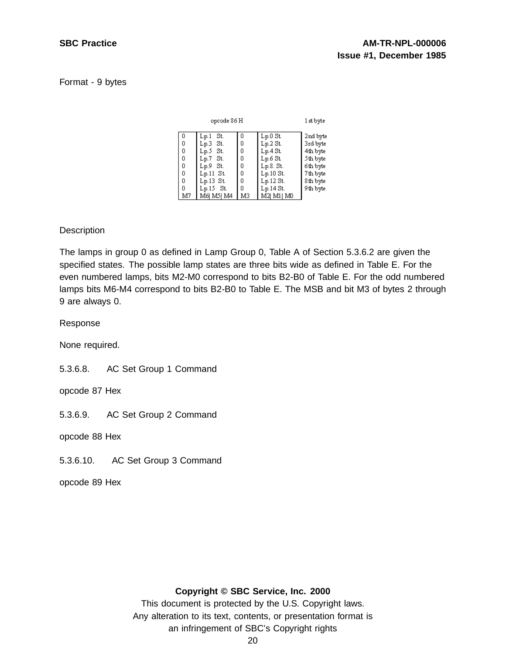#### Format - 9 bytes

|          | opcode 86H   |    | 1 st byte   |          |
|----------|--------------|----|-------------|----------|
| ΙO       | Lp.1<br>St.  | 0  | $Lp.0$ St.  | 2nd byte |
| $\theta$ | $Lp.3$ St.   | 0  | $Lp.2$ St.  | 3rd byte |
| 0        | Lp.5.<br>St. | 0  | Lp.4 St.    | 4th byte |
| 0        | Lp.7<br>St.  | 0  | $Lp.6$ St.  | 5th byte |
| 0        | $Lp.9$ St.   | 0  | $Lp.8.$ St. | 6th byte |
| 0        | $Lp.11$ St.  | 0  | $Lp.10$ St. | 7th byte |
| 0        | $Lp.13$ St.  | ۵  | $Lp.12$ St. | 8th byte |
| 0        | $Lp.15$ St.  | ۵  | $Lp.14$ St. | 9th byte |
| M7       | M6  M5  M4   | M3 | M2  M1  M0  |          |

#### **Description**

The lamps in group 0 as defined in Lamp Group 0, Table A of Section 5.3.6.2 are given the specified states. The possible lamp states are three bits wide as defined in Table E. For the even numbered lamps, bits M2-M0 correspond to bits B2-B0 of Table E. For the odd numbered lamps bits M6-M4 correspond to bits B2-B0 to Table E. The MSB and bit M3 of bytes 2 through 9 are always 0.

Response

None required.

5.3.6.8. AC Set Group 1 Command

opcode 87 Hex

5.3.6.9. AC Set Group 2 Command

opcode 88 Hex

5.3.6.10. AC Set Group 3 Command

opcode 89 Hex

#### **Copyright © SBC Service, Inc. 2000**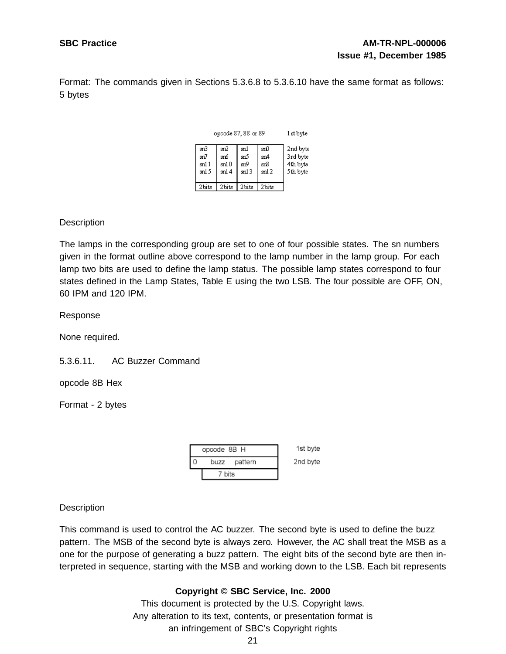Format: The commands given in Sections 5.3.6.8 to 5.3.6.10 have the same format as follows: 5 bytes

| opcode 87, 88 or 89           |                              |                           |                            | 1 st byte                                    |
|-------------------------------|------------------------------|---------------------------|----------------------------|----------------------------------------------|
| ണ്ടി<br>sn7<br>snl 1<br>snl 5 | sn2<br>sró<br>snl 0<br>snl 4 | snl<br>sn5<br>sτθ<br>sn13 | snÛ<br>sn4<br>sn8<br>snl 2 | 2nd byte<br>3rd byte<br>4th byte<br>5th byte |
| 2bits                         | 2bits                        | 2bits                     | 2bits                      |                                              |

### **Description**

The lamps in the corresponding group are set to one of four possible states. The sn numbers given in the format outline above correspond to the lamp number in the lamp group. For each lamp two bits are used to define the lamp status. The possible lamp states correspond to four states defined in the Lamp States, Table E using the two LSB. The four possible are OFF, ON, 60 IPM and 120 IPM.

Response

None required.

5.3.6.11. AC Buzzer Command

opcode 8B Hex

Format - 2 bytes



#### **Description**

This command is used to control the AC buzzer. The second byte is used to define the buzz pattern. The MSB of the second byte is always zero. However, the AC shall treat the MSB as a one for the purpose of generating a buzz pattern. The eight bits of the second byte are then interpreted in sequence, starting with the MSB and working down to the LSB. Each bit represents

### **Copyright © SBC Service, Inc. 2000**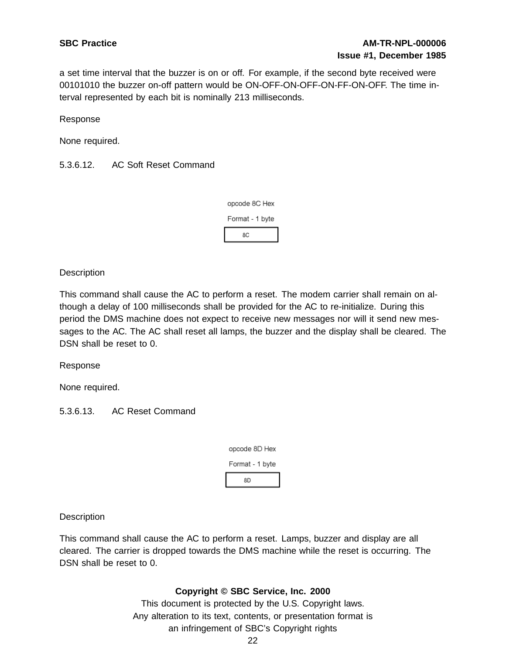a set time interval that the buzzer is on or off. For example, if the second byte received were 00101010 the buzzer on-off pattern would be ON-OFF-ON-OFF-ON-FF-ON-OFF. The time interval represented by each bit is nominally 213 milliseconds.

Response

None required.

#### 5.3.6.12. AC Soft Reset Command



#### **Description**

This command shall cause the AC to perform a reset. The modem carrier shall remain on although a delay of 100 milliseconds shall be provided for the AC to re-initialize. During this period the DMS machine does not expect to receive new messages nor will it send new messages to the AC. The AC shall reset all lamps, the buzzer and the display shall be cleared. The DSN shall be reset to 0.

Response

None required.

5.3.6.13. AC Reset Command

| opcode 8D Hex   |  |  |
|-----------------|--|--|
| Format - 1 byte |  |  |
| 8D.             |  |  |

### **Description**

This command shall cause the AC to perform a reset. Lamps, buzzer and display are all cleared. The carrier is dropped towards the DMS machine while the reset is occurring. The DSN shall be reset to 0.

### **Copyright © SBC Service, Inc. 2000**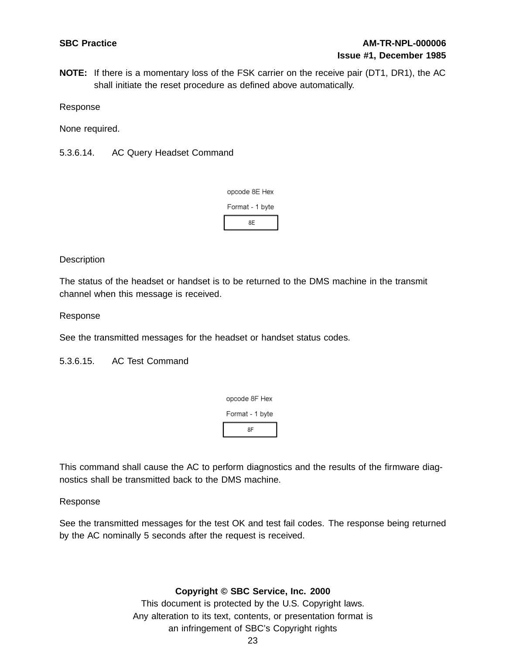**NOTE:** If there is a momentary loss of the FSK carrier on the receive pair (DT1, DR1), the AC shall initiate the reset procedure as defined above automatically.

Response

None required.

5.3.6.14. AC Query Headset Command



**Description** 

The status of the headset or handset is to be returned to the DMS machine in the transmit channel when this message is received.

Response

See the transmitted messages for the headset or handset status codes.

5.3.6.15. AC Test Command

opcode 8F Hex Format - 1 byte 8F

This command shall cause the AC to perform diagnostics and the results of the firmware diagnostics shall be transmitted back to the DMS machine.

Response

See the transmitted messages for the test OK and test fail codes. The response being returned by the AC nominally 5 seconds after the request is received.

**Copyright © SBC Service, Inc. 2000**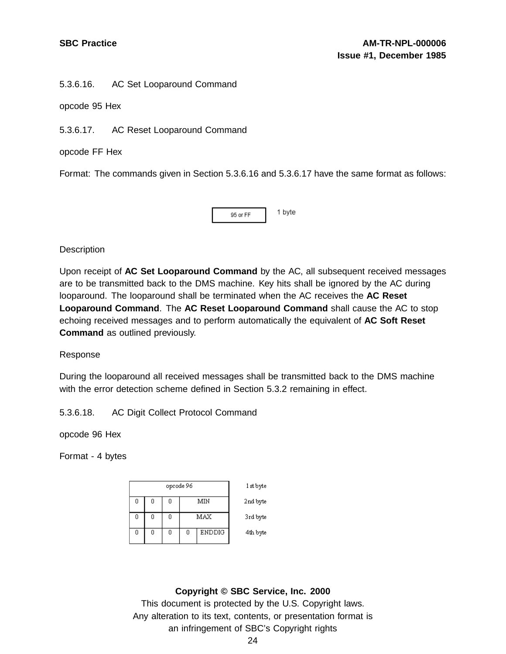## 5.3.6.16. AC Set Looparound Command

opcode 95 Hex

5.3.6.17. AC Reset Looparound Command

opcode FF Hex

Format: The commands given in Section 5.3.6.16 and 5.3.6.17 have the same format as follows:

| 95 or FF | 1 byte |
|----------|--------|
|----------|--------|

**Description** 

Upon receipt of **AC Set Looparound Command** by the AC, all subsequent received messages are to be transmitted back to the DMS machine. Key hits shall be ignored by the AC during looparound. The looparound shall be terminated when the AC receives the **AC Reset Looparound Command**. The **AC Reset Looparound Command** shall cause the AC to stop echoing received messages and to perform automatically the equivalent of **AC Soft Reset Command** as outlined previously.

#### Response

During the looparound all received messages shall be transmitted back to the DMS machine with the error detection scheme defined in Section 5.3.2 remaining in effect.

5.3.6.18. AC Digit Collect Protocol Command

opcode 96 Hex

Format - 4 bytes

| opcode 96 |   |   |     | 1 st byte     |          |
|-----------|---|---|-----|---------------|----------|
| 0         | 0 | Ο |     | MIN           | 2nd byte |
| 0         | 0 |   | MAX |               | 3rd byte |
| 0         | 0 |   | 0   | <b>ENDDIG</b> | 4th byte |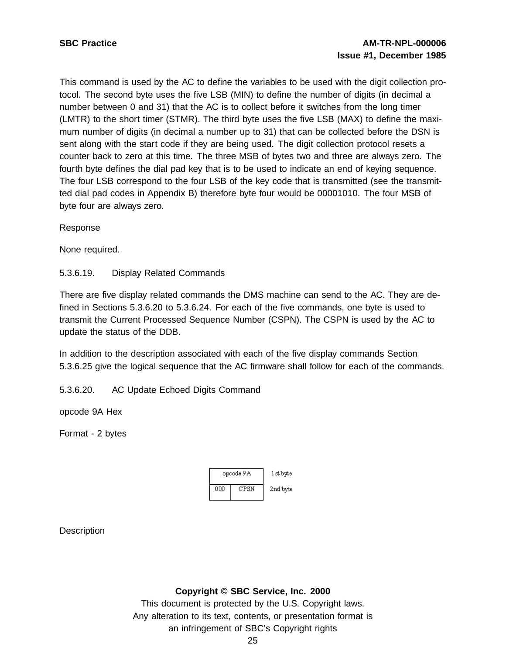This command is used by the AC to define the variables to be used with the digit collection protocol. The second byte uses the five LSB (MIN) to define the number of digits (in decimal a number between 0 and 31) that the AC is to collect before it switches from the long timer (LMTR) to the short timer (STMR). The third byte uses the five LSB (MAX) to define the maximum number of digits (in decimal a number up to 31) that can be collected before the DSN is sent along with the start code if they are being used. The digit collection protocol resets a counter back to zero at this time. The three MSB of bytes two and three are always zero. The fourth byte defines the dial pad key that is to be used to indicate an end of keying sequence. The four LSB correspond to the four LSB of the key code that is transmitted (see the transmitted dial pad codes in Appendix B) therefore byte four would be 00001010. The four MSB of byte four are always zero.

Response

None required.

#### 5.3.6.19. Display Related Commands

There are five display related commands the DMS machine can send to the AC. They are defined in Sections 5.3.6.20 to 5.3.6.24. For each of the five commands, one byte is used to transmit the Current Processed Sequence Number (CSPN). The CSPN is used by the AC to update the status of the DDB.

In addition to the description associated with each of the five display commands Section 5.3.6.25 give the logical sequence that the AC firmware shall follow for each of the commands.

5.3.6.20. AC Update Echoed Digits Command

opcode 9A Hex

Format - 2 bytes

| opcode 9 A | 1 st byte |          |
|------------|-----------|----------|
| 000        | CPSN      | 2nd byte |

**Description** 

#### **Copyright © SBC Service, Inc. 2000**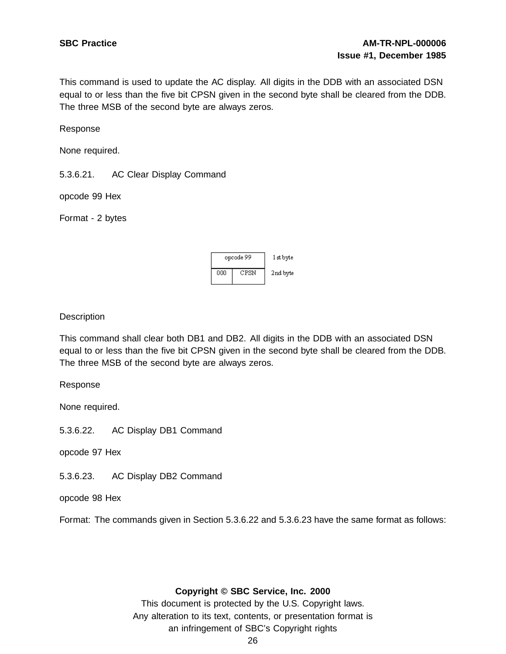This command is used to update the AC display. All digits in the DDB with an associated DSN equal to or less than the five bit CPSN given in the second byte shall be cleared from the DDB. The three MSB of the second byte are always zeros.

Response

None required.

5.3.6.21. AC Clear Display Command

opcode 99 Hex

Format - 2 bytes

| opcode 99 |      | 1 st byte |
|-----------|------|-----------|
| 000       | CPSN | 2nd byte  |

**Description** 

This command shall clear both DB1 and DB2. All digits in the DDB with an associated DSN equal to or less than the five bit CPSN given in the second byte shall be cleared from the DDB. The three MSB of the second byte are always zeros.

Response

None required.

5.3.6.22. AC Display DB1 Command

opcode 97 Hex

5.3.6.23. AC Display DB2 Command

opcode 98 Hex

Format: The commands given in Section 5.3.6.22 and 5.3.6.23 have the same format as follows:

#### **Copyright © SBC Service, Inc. 2000**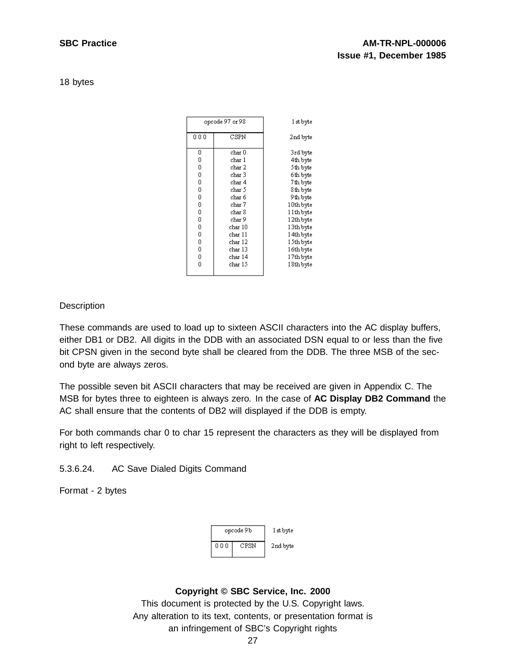18 bytes

| opcode 97 or 98 |         | 1 st byte |
|-----------------|---------|-----------|
| 000             | CSPN    | 2nd byte  |
| 0               | char 0  | 3rd byte  |
| 0               | char 1  | 4th byte  |
| ۵               | char 2  | 5th byte  |
| 0               | char 3  | 6th byte  |
| ٥               | char 4  | 7th byte  |
| 0               | char 5  | 8th byte  |
| 0               | char 6  | 9th byte  |
| 0               | char 7  | 10th byte |
| 0               | char 8  | 11th byte |
| 0               | char 9  | 12th byte |
| 0               | char 10 | 13th byte |
| 0               | char 11 | 14th byte |
| 0               | char 12 | 15th byte |
| 0               | char 13 | 16th byte |
| Ω               | char 14 | 17th byte |
| Ω               | char 15 | 18th byte |
|                 |         |           |

## **Description**

These commands are used to load up to sixteen ASCII characters into the AC display buffers, either DB1 or DB2. All digits in the DDB with an associated DSN equal to or less than the five bit CPSN given in the second byte shall be cleared from the DDB. The three MSB of the second byte are always zeros.

The possible seven bit ASCII characters that may be received are given in Appendix C. The MSB for bytes three to eighteen is always zero. In the case of **AC Display DB2 Command** the AC shall ensure that the contents of DB2 will displayed if the DDB is empty.

For both commands char 0 to char 15 represent the characters as they will be displayed from right to left respectively.

5.3.6.24. AC Save Dialed Digits Command

Format - 2 bytes



### **Copyright © SBC Service, Inc. 2000**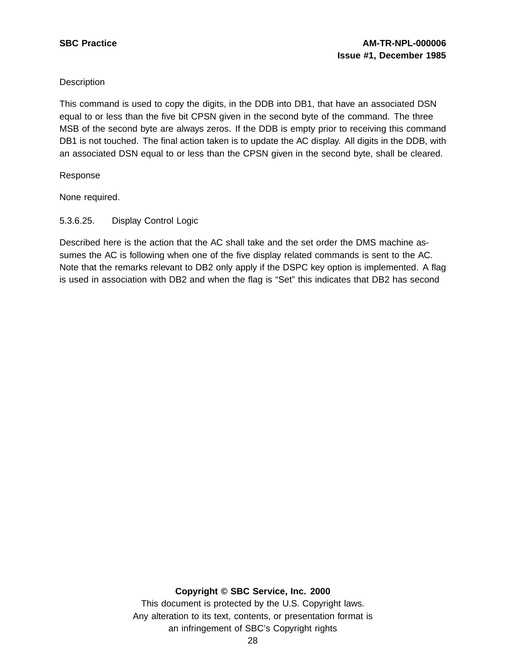## **Description**

This command is used to copy the digits, in the DDB into DB1, that have an associated DSN equal to or less than the five bit CPSN given in the second byte of the command. The three MSB of the second byte are always zeros. If the DDB is empty prior to receiving this command DB1 is not touched. The final action taken is to update the AC display. All digits in the DDB, with an associated DSN equal to or less than the CPSN given in the second byte, shall be cleared.

Response

None required.

## 5.3.6.25. Display Control Logic

Described here is the action that the AC shall take and the set order the DMS machine assumes the AC is following when one of the five display related commands is sent to the AC. Note that the remarks relevant to DB2 only apply if the DSPC key option is implemented. A flag is used in association with DB2 and when the flag is "Set" this indicates that DB2 has second

### **Copyright © SBC Service, Inc. 2000**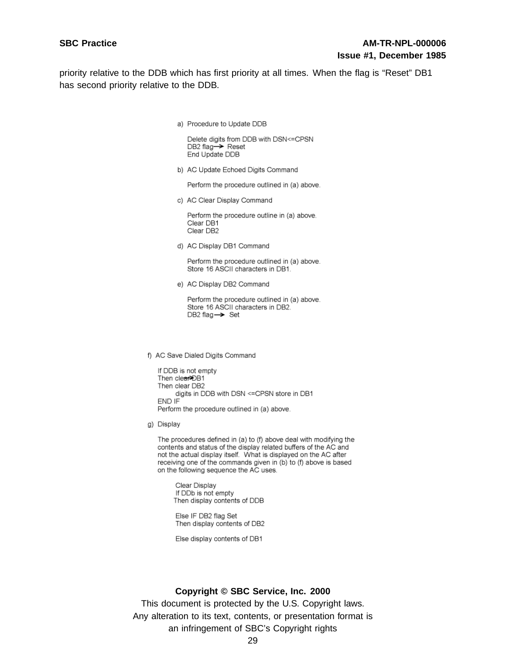priority relative to the DDB which has first priority at all times. When the flag is "Reset" DB1 has second priority relative to the DDB.

a) Procedure to Update DDB

Delete digits from DDB with DSN<=CPSN DB2 flag→ Reset End Update DDB

b) AC Update Echoed Digits Command

Perform the procedure outlined in (a) above.

c) AC Clear Display Command

Perform the procedure outline in (a) above. Clear DB1 Clear DB2

d) AC Display DB1 Command

Perform the procedure outlined in (a) above. Store 16 ASCII characters in DB1.

e) AC Display DB2 Command

Perform the procedure outlined in (a) above. Store 16 ASCII characters in DB2. DB2 flag $\rightarrow$  Set

f) AC Save Dialed Digits Command

If DDB is not empty Then clear > DB1 Then clear DB2 digits in DDB with DSN <= CPSN store in DB1 END IF Perform the procedure outlined in (a) above.

g) Display

The procedures defined in (a) to (f) above deal with modifying the contents and status of the display related buffers of the AC and not the actual display itself. What is displayed on the AC after receiving one of the commands given in (b) to (f) above is based on the following sequence the AC uses.

Clear Display If DDb is not empty Then display contents of DDB

Else IF DB2 flag Set Then display contents of DB2

Else display contents of DB1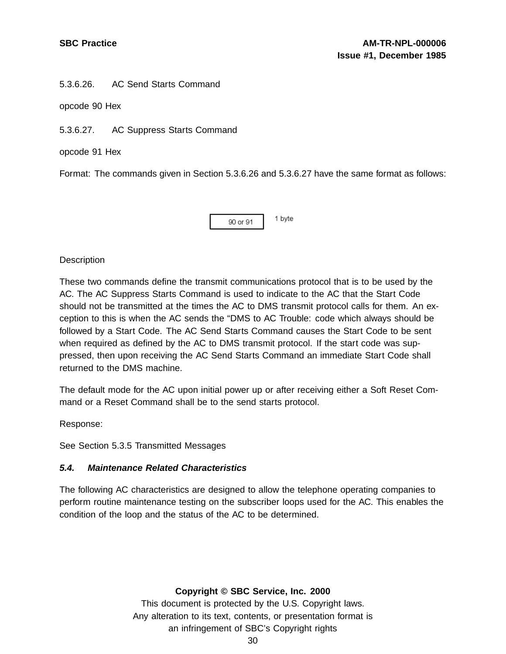5.3.6.26. AC Send Starts Command

opcode 90 Hex

5.3.6.27. AC Suppress Starts Command

opcode 91 Hex

Format: The commands given in Section 5.3.6.26 and 5.3.6.27 have the same format as follows:

1 byte 90 or 91

**Description** 

These two commands define the transmit communications protocol that is to be used by the AC. The AC Suppress Starts Command is used to indicate to the AC that the Start Code should not be transmitted at the times the AC to DMS transmit protocol calls for them. An exception to this is when the AC sends the "DMS to AC Trouble: code which always should be followed by a Start Code. The AC Send Starts Command causes the Start Code to be sent when required as defined by the AC to DMS transmit protocol. If the start code was suppressed, then upon receiving the AC Send Starts Command an immediate Start Code shall returned to the DMS machine.

The default mode for the AC upon initial power up or after receiving either a Soft Reset Command or a Reset Command shall be to the send starts protocol.

Response:

See Section 5.3.5 Transmitted Messages

### **5.4. Maintenance Related Characteristics**

The following AC characteristics are designed to allow the telephone operating companies to perform routine maintenance testing on the subscriber loops used for the AC. This enables the condition of the loop and the status of the AC to be determined.

**Copyright © SBC Service, Inc. 2000**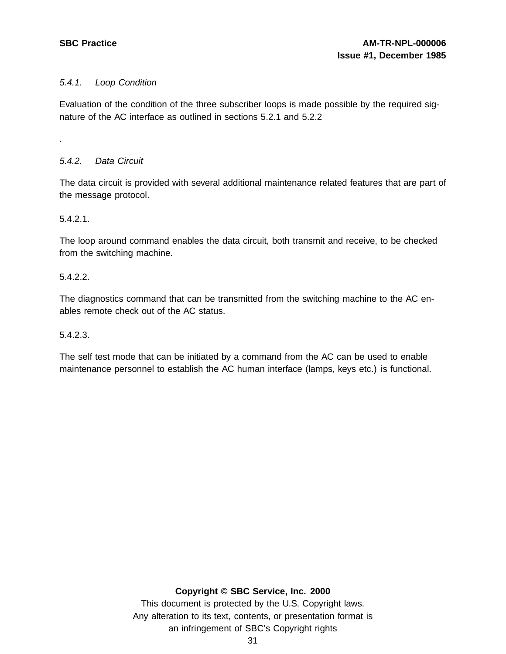## 5.4.1. Loop Condition

Evaluation of the condition of the three subscriber loops is made possible by the required signature of the AC interface as outlined in sections 5.2.1 and 5.2.2

5.4.2. Data Circuit

The data circuit is provided with several additional maintenance related features that are part of the message protocol.

5.4.2.1.

.

The loop around command enables the data circuit, both transmit and receive, to be checked from the switching machine.

5.4.2.2.

The diagnostics command that can be transmitted from the switching machine to the AC enables remote check out of the AC status.

### 5.4.2.3.

The self test mode that can be initiated by a command from the AC can be used to enable maintenance personnel to establish the AC human interface (lamps, keys etc.) is functional.

**Copyright © SBC Service, Inc. 2000**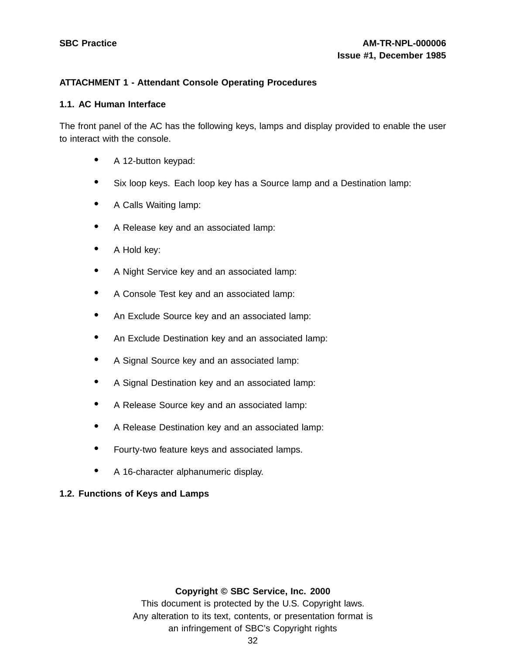## **ATTACHMENT 1 - Attendant Console Operating Procedures**

### **1.1. AC Human Interface**

The front panel of the AC has the following keys, lamps and display provided to enable the user to interact with the console.

- <sup>A</sup> 12-button keypad:
- Six loop keys. Each loop key has <sup>a</sup> Source lamp and <sup>a</sup> Destination lamp:
- <sup>A</sup> Calls Waiting lamp:
- <sup>A</sup> Release key and an associated lamp:
- <sup>A</sup> Hold key:
- <sup>A</sup> Night Service key and an associated lamp:
- <sup>A</sup> Console Test key and an associated lamp:
- An Exclude Source key and an associated lamp:
- An Exclude Destination key and an associated lamp:
- <sup>A</sup> Signal Source key and an associated lamp:
- <sup>A</sup> Signal Destination key and an associated lamp:
- <sup>A</sup> Release Source key and an associated lamp:
- <sup>A</sup> Release Destination key and an associated lamp:
- Fourty-two feature keys and associated lamps.
- <sup>A</sup> 16-character alphanumeric display.

### **1.2. Functions of Keys and Lamps**

### **Copyright © SBC Service, Inc. 2000**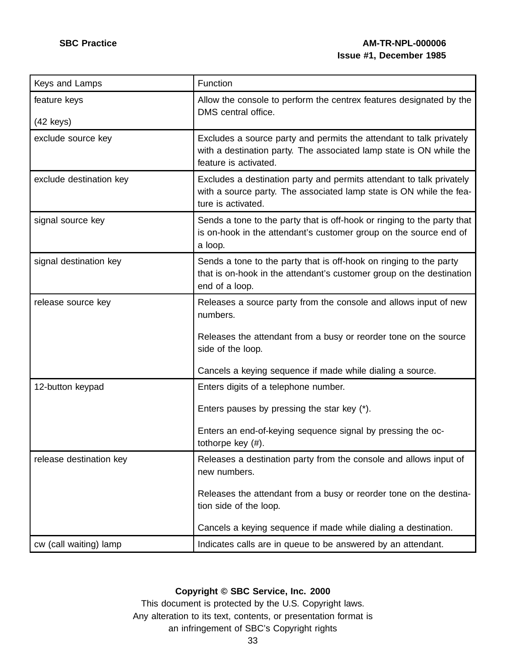| Keys and Lamps          | Function                                                                                                                                                            |
|-------------------------|---------------------------------------------------------------------------------------------------------------------------------------------------------------------|
| feature keys            | Allow the console to perform the centrex features designated by the<br>DMS central office.                                                                          |
| $(42 \text{ keys})$     |                                                                                                                                                                     |
| exclude source key      | Excludes a source party and permits the attendant to talk privately<br>with a destination party. The associated lamp state is ON while the<br>feature is activated. |
| exclude destination key | Excludes a destination party and permits attendant to talk privately<br>with a source party. The associated lamp state is ON while the fea-<br>ture is activated.   |
| signal source key       | Sends a tone to the party that is off-hook or ringing to the party that<br>is on-hook in the attendant's customer group on the source end of<br>a loop.             |
| signal destination key  | Sends a tone to the party that is off-hook on ringing to the party<br>that is on-hook in the attendant's customer group on the destination<br>end of a loop.        |
| release source key      | Releases a source party from the console and allows input of new<br>numbers.                                                                                        |
|                         | Releases the attendant from a busy or reorder tone on the source<br>side of the loop.                                                                               |
|                         | Cancels a keying sequence if made while dialing a source.                                                                                                           |
| 12-button keypad        | Enters digits of a telephone number.                                                                                                                                |
|                         | Enters pauses by pressing the star key (*).                                                                                                                         |
|                         | Enters an end-of-keying sequence signal by pressing the oc-<br>tothorpe key $(\#)$ .                                                                                |
| release destination key | Releases a destination party from the console and allows input of<br>new numbers.                                                                                   |
|                         | Releases the attendant from a busy or reorder tone on the destina-<br>tion side of the loop.                                                                        |
|                         | Cancels a keying sequence if made while dialing a destination.                                                                                                      |
| cw (call waiting) lamp  | Indicates calls are in queue to be answered by an attendant.                                                                                                        |

**Copyright © SBC Service, Inc. 2000**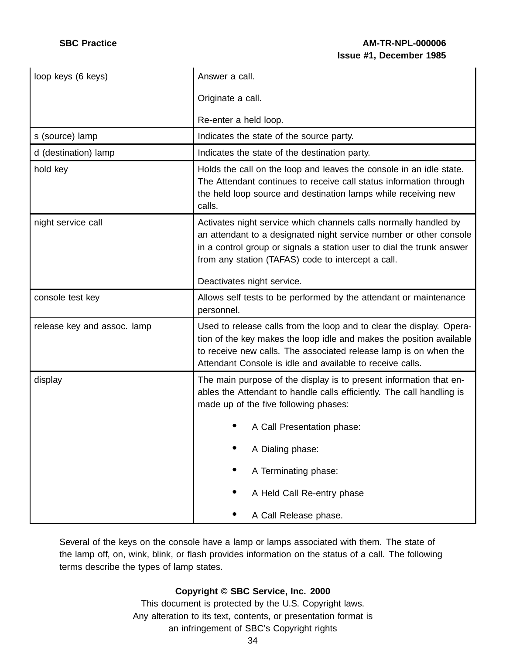## **SBC Practice AM-TR-NPL-000006 Issue #1, December 1985**

| loop keys (6 keys)          | Answer a call.                                                                                                                                                                                                                                                                               |
|-----------------------------|----------------------------------------------------------------------------------------------------------------------------------------------------------------------------------------------------------------------------------------------------------------------------------------------|
|                             | Originate a call.                                                                                                                                                                                                                                                                            |
|                             | Re-enter a held loop.                                                                                                                                                                                                                                                                        |
| s (source) lamp             | Indicates the state of the source party.                                                                                                                                                                                                                                                     |
| d (destination) lamp        | Indicates the state of the destination party.                                                                                                                                                                                                                                                |
| hold key                    | Holds the call on the loop and leaves the console in an idle state.<br>The Attendant continues to receive call status information through<br>the held loop source and destination lamps while receiving new<br>calls.                                                                        |
| night service call          | Activates night service which channels calls normally handled by<br>an attendant to a designated night service number or other console<br>in a control group or signals a station user to dial the trunk answer<br>from any station (TAFAS) code to intercept a call.                        |
|                             | Deactivates night service.                                                                                                                                                                                                                                                                   |
| console test key            | Allows self tests to be performed by the attendant or maintenance<br>personnel.                                                                                                                                                                                                              |
| release key and assoc. lamp | Used to release calls from the loop and to clear the display. Opera-<br>tion of the key makes the loop idle and makes the position available<br>to receive new calls. The associated release lamp is on when the<br>Attendant Console is idle and available to receive calls.                |
| display                     | The main purpose of the display is to present information that en-<br>ables the Attendant to handle calls efficiently. The call handling is<br>made up of the five following phases:<br>A Call Presentation phase:<br>A Dialing phase:<br>A Terminating phase:<br>A Held Call Re-entry phase |
|                             | A Call Release phase.                                                                                                                                                                                                                                                                        |

Several of the keys on the console have a lamp or lamps associated with them. The state of the lamp off, on, wink, blink, or flash provides information on the status of a call. The following terms describe the types of lamp states.

### **Copyright © SBC Service, Inc. 2000**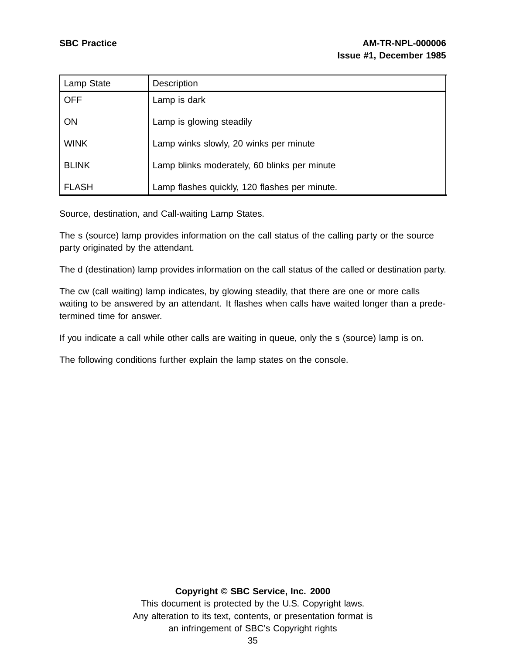| Lamp State   | Description                                   |
|--------------|-----------------------------------------------|
| <b>OFF</b>   | Lamp is dark                                  |
| ON           | Lamp is glowing steadily                      |
| <b>WINK</b>  | Lamp winks slowly, 20 winks per minute        |
| <b>BLINK</b> | Lamp blinks moderately, 60 blinks per minute  |
| <b>FLASH</b> | Lamp flashes quickly, 120 flashes per minute. |

Source, destination, and Call-waiting Lamp States.

The s (source) lamp provides information on the call status of the calling party or the source party originated by the attendant.

The d (destination) lamp provides information on the call status of the called or destination party.

The cw (call waiting) lamp indicates, by glowing steadily, that there are one or more calls waiting to be answered by an attendant. It flashes when calls have waited longer than a predetermined time for answer.

If you indicate a call while other calls are waiting in queue, only the s (source) lamp is on.

The following conditions further explain the lamp states on the console.

**Copyright © SBC Service, Inc. 2000**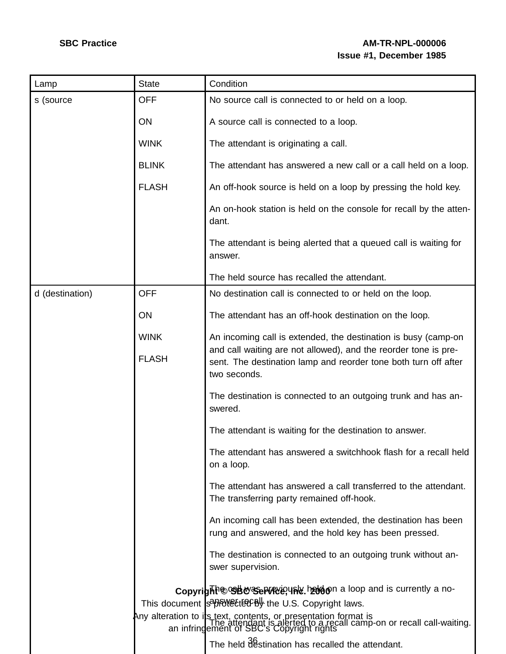## **SBC Practice AM-TR-NPL-000006 Issue #1, December 1985**

| Lamp            | <b>State</b> | Condition                                                                                                                                                                                                                                                                                                                                                            |
|-----------------|--------------|----------------------------------------------------------------------------------------------------------------------------------------------------------------------------------------------------------------------------------------------------------------------------------------------------------------------------------------------------------------------|
| s (source       | <b>OFF</b>   | No source call is connected to or held on a loop.                                                                                                                                                                                                                                                                                                                    |
|                 | ON           | A source call is connected to a loop.                                                                                                                                                                                                                                                                                                                                |
|                 | <b>WINK</b>  | The attendant is originating a call.                                                                                                                                                                                                                                                                                                                                 |
|                 | <b>BLINK</b> | The attendant has answered a new call or a call held on a loop.                                                                                                                                                                                                                                                                                                      |
|                 | <b>FLASH</b> | An off-hook source is held on a loop by pressing the hold key.                                                                                                                                                                                                                                                                                                       |
|                 |              | An on-hook station is held on the console for recall by the atten-<br>dant.                                                                                                                                                                                                                                                                                          |
|                 |              | The attendant is being alerted that a queued call is waiting for<br>answer.                                                                                                                                                                                                                                                                                          |
|                 |              | The held source has recalled the attendant.                                                                                                                                                                                                                                                                                                                          |
| d (destination) | <b>OFF</b>   | No destination call is connected to or held on the loop.                                                                                                                                                                                                                                                                                                             |
|                 | ON           | The attendant has an off-hook destination on the loop.                                                                                                                                                                                                                                                                                                               |
|                 | <b>WINK</b>  | An incoming call is extended, the destination is busy (camp-on                                                                                                                                                                                                                                                                                                       |
|                 | <b>FLASH</b> | and call waiting are not allowed), and the reorder tone is pre-<br>sent. The destination lamp and reorder tone both turn off after<br>two seconds.                                                                                                                                                                                                                   |
|                 |              | The destination is connected to an outgoing trunk and has an-<br>swered.                                                                                                                                                                                                                                                                                             |
|                 |              | The attendant is waiting for the destination to answer.                                                                                                                                                                                                                                                                                                              |
|                 |              | The attendant has answered a switchhook flash for a recall held<br>on a loop.                                                                                                                                                                                                                                                                                        |
|                 |              | The attendant has answered a call transferred to the attendant.<br>The transferring party remained off-hook.                                                                                                                                                                                                                                                         |
|                 |              | An incoming call has been extended, the destination has been<br>rung and answered, and the hold key has been pressed.                                                                                                                                                                                                                                                |
|                 |              | The destination is connected to an outgoing trunk without an-<br>swer supervision.                                                                                                                                                                                                                                                                                   |
|                 |              | Copyrigh <sup>p</sup> ® SB e SePVR equally below a loop and is currently a no-<br>This document s <sup>aprovectec by</sup> the U.S. Copyright laws.<br>Any alteration to its text, contents, or presentation format is<br>an infringement of SBC's Copyright rights<br>an infringement of SBC's Copyright rights<br>The held destination has recalled the attendant. |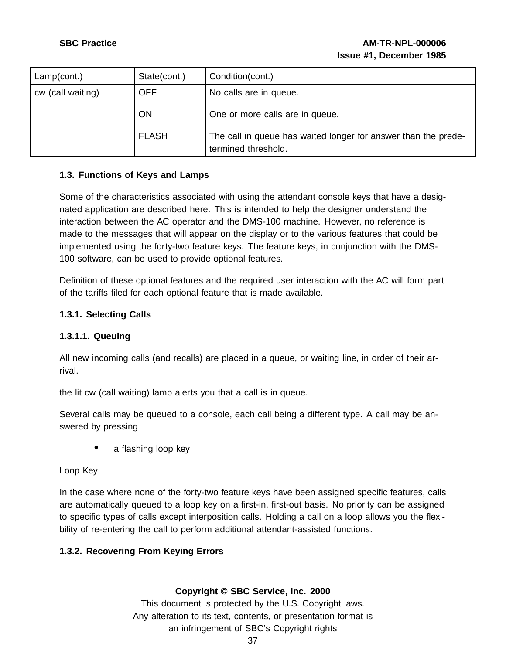| Lamp(cont.)       | State(cont.) | Condition(cont.)                                                                      |
|-------------------|--------------|---------------------------------------------------------------------------------------|
| cw (call waiting) | <b>OFF</b>   | No calls are in queue.                                                                |
|                   | ON           | One or more calls are in queue.                                                       |
|                   | <b>FLASH</b> | The call in queue has waited longer for answer than the prede-<br>termined threshold. |

## **1.3. Functions of Keys and Lamps**

Some of the characteristics associated with using the attendant console keys that have a designated application are described here. This is intended to help the designer understand the interaction between the AC operator and the DMS-100 machine. However, no reference is made to the messages that will appear on the display or to the various features that could be implemented using the forty-two feature keys. The feature keys, in conjunction with the DMS-100 software, can be used to provide optional features.

Definition of these optional features and the required user interaction with the AC will form part of the tariffs filed for each optional feature that is made available.

## **1.3.1. Selecting Calls**

### **1.3.1.1. Queuing**

All new incoming calls (and recalls) are placed in a queue, or waiting line, in order of their arrival.

the lit cw (call waiting) lamp alerts you that a call is in queue.

Several calls may be queued to a console, each call being a different type. A call may be answered by pressing

a flashing loop key

Loop Key

In the case where none of the forty-two feature keys have been assigned specific features, calls are automatically queued to a loop key on a first-in, first-out basis. No priority can be assigned to specific types of calls except interposition calls. Holding a call on a loop allows you the flexibility of re-entering the call to perform additional attendant-assisted functions.

## **1.3.2. Recovering From Keying Errors**

### **Copyright © SBC Service, Inc. 2000**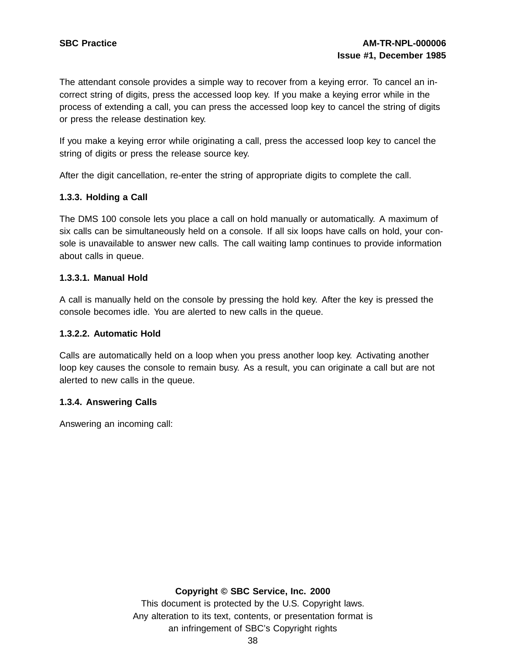The attendant console provides a simple way to recover from a keying error. To cancel an incorrect string of digits, press the accessed loop key. If you make a keying error while in the process of extending a call, you can press the accessed loop key to cancel the string of digits or press the release destination key.

If you make a keying error while originating a call, press the accessed loop key to cancel the string of digits or press the release source key.

After the digit cancellation, re-enter the string of appropriate digits to complete the call.

#### **1.3.3. Holding a Call**

The DMS 100 console lets you place a call on hold manually or automatically. A maximum of six calls can be simultaneously held on a console. If all six loops have calls on hold, your console is unavailable to answer new calls. The call waiting lamp continues to provide information about calls in queue.

#### **1.3.3.1. Manual Hold**

A call is manually held on the console by pressing the hold key. After the key is pressed the console becomes idle. You are alerted to new calls in the queue.

#### **1.3.2.2. Automatic Hold**

Calls are automatically held on a loop when you press another loop key. Activating another loop key causes the console to remain busy. As a result, you can originate a call but are not alerted to new calls in the queue.

### **1.3.4. Answering Calls**

Answering an incoming call:

**Copyright © SBC Service, Inc. 2000**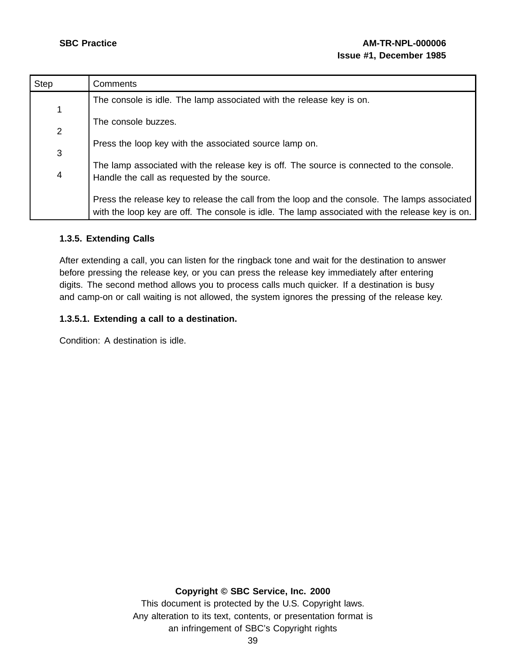| <b>Step</b>    | Comments                                                                                                                                                                                         |
|----------------|--------------------------------------------------------------------------------------------------------------------------------------------------------------------------------------------------|
|                | The console is idle. The lamp associated with the release key is on.                                                                                                                             |
|                | The console buzzes.                                                                                                                                                                              |
| $\overline{2}$ | Press the loop key with the associated source lamp on.                                                                                                                                           |
| 3              |                                                                                                                                                                                                  |
| $\overline{4}$ | The lamp associated with the release key is off. The source is connected to the console.<br>Handle the call as requested by the source.                                                          |
|                | Press the release key to release the call from the loop and the console. The lamps associated<br>with the loop key are off. The console is idle. The lamp associated with the release key is on. |

## **1.3.5. Extending Calls**

After extending a call, you can listen for the ringback tone and wait for the destination to answer before pressing the release key, or you can press the release key immediately after entering digits. The second method allows you to process calls much quicker. If a destination is busy and camp-on or call waiting is not allowed, the system ignores the pressing of the release key.

## **1.3.5.1. Extending a call to a destination.**

Condition: A destination is idle.

**Copyright © SBC Service, Inc. 2000**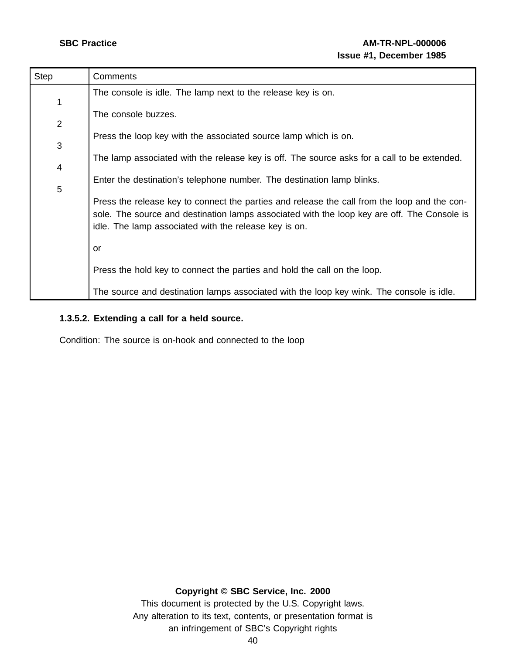| <b>Step</b>    | Comments                                                                                                                                                                                                                                             |
|----------------|------------------------------------------------------------------------------------------------------------------------------------------------------------------------------------------------------------------------------------------------------|
| 1              | The console is idle. The lamp next to the release key is on.                                                                                                                                                                                         |
| $\overline{2}$ | The console buzzes.                                                                                                                                                                                                                                  |
| 3              | Press the loop key with the associated source lamp which is on.                                                                                                                                                                                      |
| 4              | The lamp associated with the release key is off. The source asks for a call to be extended.                                                                                                                                                          |
| 5              | Enter the destination's telephone number. The destination lamp blinks.                                                                                                                                                                               |
|                | Press the release key to connect the parties and release the call from the loop and the con-<br>sole. The source and destination lamps associated with the loop key are off. The Console is<br>idle. The lamp associated with the release key is on. |
|                | or                                                                                                                                                                                                                                                   |
|                | Press the hold key to connect the parties and hold the call on the loop.                                                                                                                                                                             |
|                | The source and destination lamps associated with the loop key wink. The console is idle.                                                                                                                                                             |

## **1.3.5.2. Extending a call for a held source.**

Condition: The source is on-hook and connected to the loop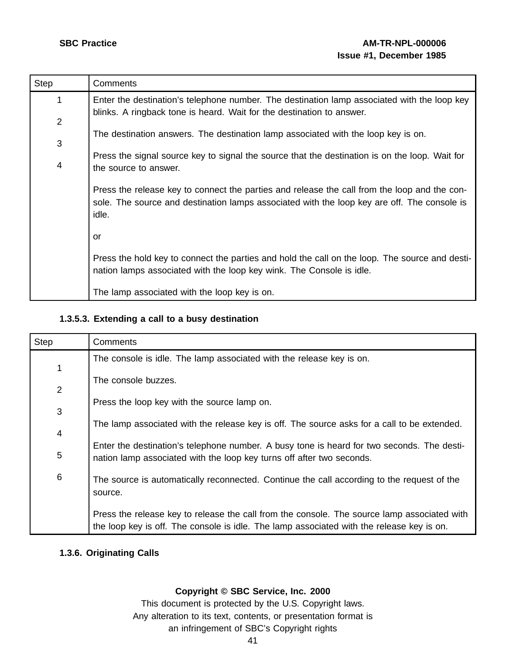| <b>Step</b>    | Comments                                                                                                                                                                                             |
|----------------|------------------------------------------------------------------------------------------------------------------------------------------------------------------------------------------------------|
| 1              | Enter the destination's telephone number. The destination lamp associated with the loop key                                                                                                          |
| $\overline{2}$ | blinks. A ringback tone is heard. Wait for the destination to answer.                                                                                                                                |
| $\sqrt{3}$     | The destination answers. The destination lamp associated with the loop key is on.                                                                                                                    |
| $\overline{4}$ | Press the signal source key to signal the source that the destination is on the loop. Wait for<br>the source to answer.                                                                              |
|                | Press the release key to connect the parties and release the call from the loop and the con-<br>sole. The source and destination lamps associated with the loop key are off. The console is<br>idle. |
|                | or                                                                                                                                                                                                   |
|                | Press the hold key to connect the parties and hold the call on the loop. The source and desti-<br>nation lamps associated with the loop key wink. The Console is idle.                               |
|                | The lamp associated with the loop key is on.                                                                                                                                                         |

## **1.3.5.3. Extending a call to a busy destination**

| <b>Step</b>         | Comments                                                                                                                                                                                 |
|---------------------|------------------------------------------------------------------------------------------------------------------------------------------------------------------------------------------|
| 1                   | The console is idle. The lamp associated with the release key is on.                                                                                                                     |
| $\overline{2}$      | The console buzzes.                                                                                                                                                                      |
| 3                   | Press the loop key with the source lamp on.                                                                                                                                              |
|                     | The lamp associated with the release key is off. The source asks for a call to be extended.                                                                                              |
| 4<br>$\overline{5}$ | Enter the destination's telephone number. A busy tone is heard for two seconds. The desti-                                                                                               |
|                     | nation lamp associated with the loop key turns off after two seconds.                                                                                                                    |
| 6                   | The source is automatically reconnected. Continue the call according to the request of the<br>source.                                                                                    |
|                     | Press the release key to release the call from the console. The source lamp associated with<br>the loop key is off. The console is idle. The lamp associated with the release key is on. |

## **1.3.6. Originating Calls**

## **Copyright © SBC Service, Inc. 2000**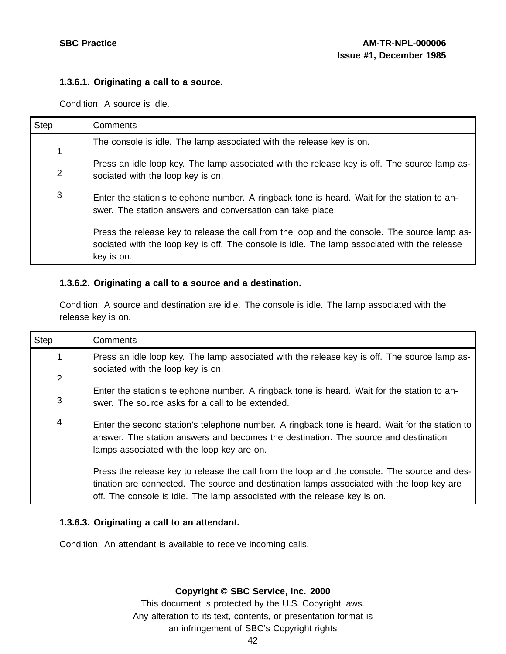## **1.3.6.1. Originating a call to a source.**

Condition: A source is idle.

| <b>Step</b>    | Comments                                                                                                                                                                                                   |
|----------------|------------------------------------------------------------------------------------------------------------------------------------------------------------------------------------------------------------|
|                | The console is idle. The lamp associated with the release key is on.                                                                                                                                       |
| $\overline{2}$ | Press an idle loop key. The lamp associated with the release key is off. The source lamp as-<br>sociated with the loop key is on.                                                                          |
| 3              | Enter the station's telephone number. A ringback tone is heard. Wait for the station to an-<br>swer. The station answers and conversation can take place.                                                  |
|                | Press the release key to release the call from the loop and the console. The source lamp as-<br>sociated with the loop key is off. The console is idle. The lamp associated with the release<br>key is on. |

## **1.3.6.2. Originating a call to a source and a destination.**

Condition: A source and destination are idle. The console is idle. The lamp associated with the release key is on.

| Step           | Comments                                                                                                                                                                                                                                                               |
|----------------|------------------------------------------------------------------------------------------------------------------------------------------------------------------------------------------------------------------------------------------------------------------------|
|                | Press an idle loop key. The lamp associated with the release key is off. The source lamp as-<br>sociated with the loop key is on.                                                                                                                                      |
| $\overline{2}$ |                                                                                                                                                                                                                                                                        |
| $\sqrt{3}$     | Enter the station's telephone number. A ringback tone is heard. Wait for the station to an-<br>swer. The source asks for a call to be extended.                                                                                                                        |
| 4              | Enter the second station's telephone number. A ringback tone is heard. Wait for the station to<br>answer. The station answers and becomes the destination. The source and destination<br>lamps associated with the loop key are on.                                    |
|                | Press the release key to release the call from the loop and the console. The source and des-<br>tination are connected. The source and destination lamps associated with the loop key are<br>off. The console is idle. The lamp associated with the release key is on. |

## **1.3.6.3. Originating a call to an attendant.**

Condition: An attendant is available to receive incoming calls.

### **Copyright © SBC Service, Inc. 2000**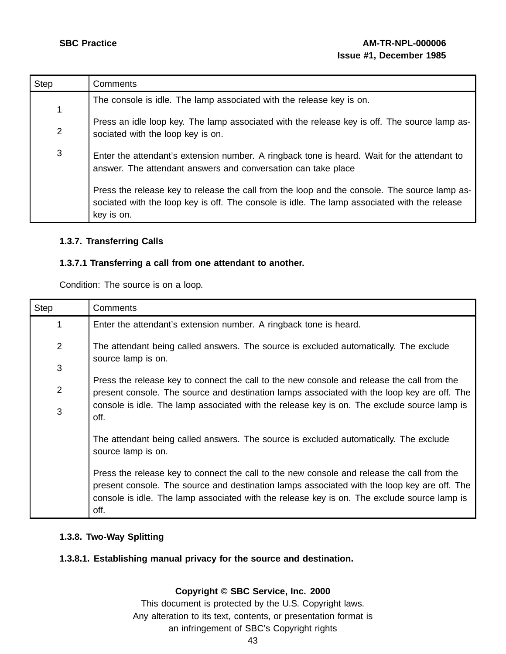| <b>Step</b>    | Comments                                                                                                                                                                                                   |  |  |  |  |
|----------------|------------------------------------------------------------------------------------------------------------------------------------------------------------------------------------------------------------|--|--|--|--|
|                | The console is idle. The lamp associated with the release key is on.                                                                                                                                       |  |  |  |  |
| $\overline{2}$ | Press an idle loop key. The lamp associated with the release key is off. The source lamp as-<br>sociated with the loop key is on.                                                                          |  |  |  |  |
| 3              | Enter the attendant's extension number. A ringback tone is heard. Wait for the attendant to<br>answer. The attendant answers and conversation can take place                                               |  |  |  |  |
|                | Press the release key to release the call from the loop and the console. The source lamp as-<br>sociated with the loop key is off. The console is idle. The lamp associated with the release<br>key is on. |  |  |  |  |

## **1.3.7. Transferring Calls**

### **1.3.7.1 Transferring a call from one attendant to another.**

Condition: The source is on a loop.

| <b>Step</b>    | Comments                                                                                                                                                                                                                                                                                         |  |  |  |  |
|----------------|--------------------------------------------------------------------------------------------------------------------------------------------------------------------------------------------------------------------------------------------------------------------------------------------------|--|--|--|--|
|                | Enter the attendant's extension number. A ringback tone is heard.                                                                                                                                                                                                                                |  |  |  |  |
| $\overline{2}$ | The attendant being called answers. The source is excluded automatically. The exclude                                                                                                                                                                                                            |  |  |  |  |
| 3              | source lamp is on.                                                                                                                                                                                                                                                                               |  |  |  |  |
| 2              | Press the release key to connect the call to the new console and release the call from the<br>present console. The source and destination lamps associated with the loop key are off. The                                                                                                        |  |  |  |  |
| $\mathbf{3}$   | console is idle. The lamp associated with the release key is on. The exclude source lamp is<br>off.                                                                                                                                                                                              |  |  |  |  |
|                | The attendant being called answers. The source is excluded automatically. The exclude<br>source lamp is on.                                                                                                                                                                                      |  |  |  |  |
|                | Press the release key to connect the call to the new console and release the call from the<br>present console. The source and destination lamps associated with the loop key are off. The<br>console is idle. The lamp associated with the release key is on. The exclude source lamp is<br>off. |  |  |  |  |

## **1.3.8. Two-Way Splitting**

### **1.3.8.1. Establishing manual privacy for the source and destination.**

**Copyright © SBC Service, Inc. 2000**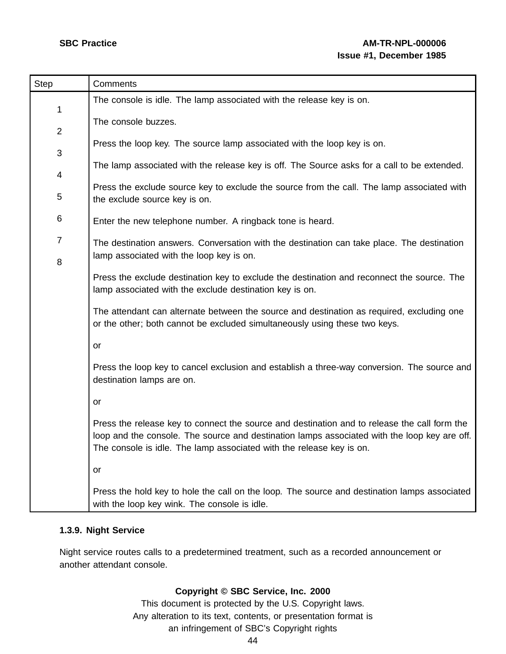| <b>Step</b>         | Comments                                                                                                                                                                                                                                                             |  |  |  |  |
|---------------------|----------------------------------------------------------------------------------------------------------------------------------------------------------------------------------------------------------------------------------------------------------------------|--|--|--|--|
| 1                   | The console is idle. The lamp associated with the release key is on.                                                                                                                                                                                                 |  |  |  |  |
| $\overline{2}$      | The console buzzes.                                                                                                                                                                                                                                                  |  |  |  |  |
|                     | Press the loop key. The source lamp associated with the loop key is on.                                                                                                                                                                                              |  |  |  |  |
| $\sqrt{3}$          | The lamp associated with the release key is off. The Source asks for a call to be extended.                                                                                                                                                                          |  |  |  |  |
| 4<br>5              | Press the exclude source key to exclude the source from the call. The lamp associated with<br>the exclude source key is on.                                                                                                                                          |  |  |  |  |
| $6\phantom{1}6$     | Enter the new telephone number. A ringback tone is heard.                                                                                                                                                                                                            |  |  |  |  |
| $\overline{7}$<br>8 | The destination answers. Conversation with the destination can take place. The destination<br>lamp associated with the loop key is on.                                                                                                                               |  |  |  |  |
|                     | Press the exclude destination key to exclude the destination and reconnect the source. The<br>lamp associated with the exclude destination key is on.                                                                                                                |  |  |  |  |
|                     | The attendant can alternate between the source and destination as required, excluding one<br>or the other; both cannot be excluded simultaneously using these two keys.                                                                                              |  |  |  |  |
|                     | or                                                                                                                                                                                                                                                                   |  |  |  |  |
|                     | Press the loop key to cancel exclusion and establish a three-way conversion. The source and<br>destination lamps are on.                                                                                                                                             |  |  |  |  |
|                     | or                                                                                                                                                                                                                                                                   |  |  |  |  |
|                     | Press the release key to connect the source and destination and to release the call form the<br>loop and the console. The source and destination lamps associated with the loop key are off.<br>The console is idle. The lamp associated with the release key is on. |  |  |  |  |
|                     | or                                                                                                                                                                                                                                                                   |  |  |  |  |
|                     | Press the hold key to hole the call on the loop. The source and destination lamps associated<br>with the loop key wink. The console is idle.                                                                                                                         |  |  |  |  |

## **1.3.9. Night Service**

Night service routes calls to a predetermined treatment, such as a recorded announcement or another attendant console.

## **Copyright © SBC Service, Inc. 2000**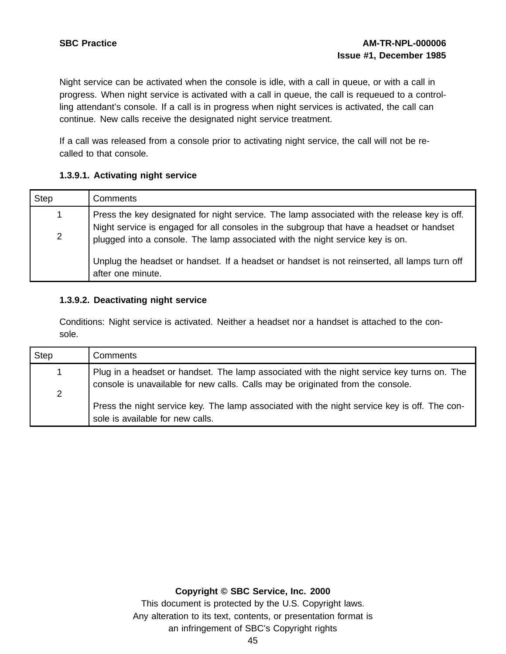Night service can be activated when the console is idle, with a call in queue, or with a call in progress. When night service is activated with a call in queue, the call is requeued to a controlling attendant's console. If a call is in progress when night services is activated, the call can continue. New calls receive the designated night service treatment.

If a call was released from a console prior to activating night service, the call will not be recalled to that console.

## **1.3.9.1. Activating night service**

| <b>Step</b>    | Comments                                                                                                                                                                  |  |  |  |
|----------------|---------------------------------------------------------------------------------------------------------------------------------------------------------------------------|--|--|--|
|                | Press the key designated for night service. The lamp associated with the release key is off.                                                                              |  |  |  |
| $\overline{2}$ | Night service is engaged for all consoles in the subgroup that have a headset or handset<br>plugged into a console. The lamp associated with the night service key is on. |  |  |  |
|                | Unplug the headset or handset. If a headset or handset is not reinserted, all lamps turn off<br>after one minute.                                                         |  |  |  |

### **1.3.9.2. Deactivating night service**

Conditions: Night service is activated. Neither a headset nor a handset is attached to the console.

| <b>Step</b> | Comments                                                                                                                                                                      |
|-------------|-------------------------------------------------------------------------------------------------------------------------------------------------------------------------------|
| 1<br>2      | Plug in a headset or handset. The lamp associated with the night service key turns on. The<br>console is unavailable for new calls. Calls may be originated from the console. |
|             | Press the night service key. The lamp associated with the night service key is off. The con-<br>sole is available for new calls.                                              |

### **Copyright © SBC Service, Inc. 2000**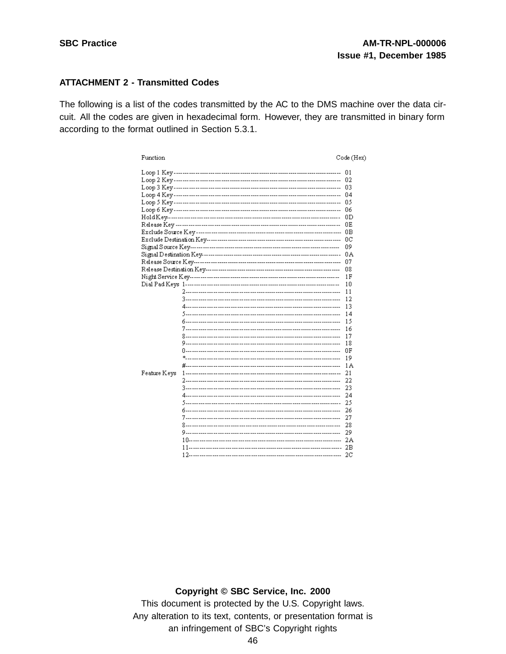## **ATTACHMENT 2 - Transmitted Codes**

The following is a list of the codes transmitted by the AC to the DMS machine over the data circuit. All the codes are given in hexadecimal form. However, they are transmitted in binary form according to the format outlined in Section 5.3.1.

| Function     |                                 | Code (Hex) |
|--------------|---------------------------------|------------|
|              |                                 | 01         |
|              |                                 | 02         |
|              |                                 | 03         |
|              |                                 | 04         |
|              |                                 | 05         |
|              |                                 | 06         |
|              |                                 | ΟD         |
|              |                                 | OΕ         |
|              |                                 | 0Β         |
|              |                                 | ОC         |
|              |                                 | 09         |
|              |                                 | θA         |
|              |                                 | 07         |
|              |                                 | 08         |
|              |                                 | 1 F        |
|              |                                 | 10         |
|              |                                 | 11         |
|              |                                 | 12         |
|              |                                 | 13         |
|              |                                 | 14         |
|              |                                 | 15         |
|              |                                 | 16         |
|              |                                 | 17         |
|              |                                 | 18         |
|              |                                 | ΟF         |
|              |                                 | 19         |
|              |                                 | 1 A        |
| Feature Keys | 1------------------             | 21         |
|              |                                 | 22         |
|              |                                 | 23         |
|              | ------------------------------- | 24         |
|              |                                 | 25         |
|              |                                 | 26         |
|              |                                 | 27         |
|              |                                 | 28         |
|              |                                 | 29         |
|              | 10--------------------          | 2Α         |
|              |                                 | 2Β         |
|              |                                 | 2С         |

#### **Copyright © SBC Service, Inc. 2000**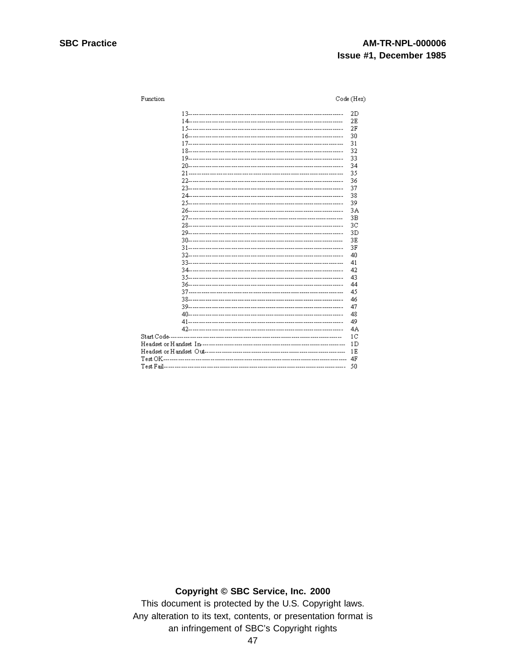## **SBC Practice AM-TR-NPL-000006 Issue #1, December 1985**

Function

 $Code (Hex)$ 

| 2D             |
|----------------|
| 2Ε             |
| 2F             |
| 30             |
| 31             |
| 32             |
| 33             |
| 34             |
| 35             |
| 36             |
| 37             |
| 38             |
| 39             |
| 3A             |
| 3B             |
| 3С             |
| 3D             |
| 3E             |
| 3F             |
| 40             |
| 41             |
| 42             |
| 43             |
| 44             |
| 45             |
| 46             |
| 47             |
| 48             |
| 49             |
| 4A             |
| 1 <sup>C</sup> |
| 1 <sub>D</sub> |
| 1E             |
| 4F             |
| 50             |

## **Copyright © SBC Service, Inc. 2000**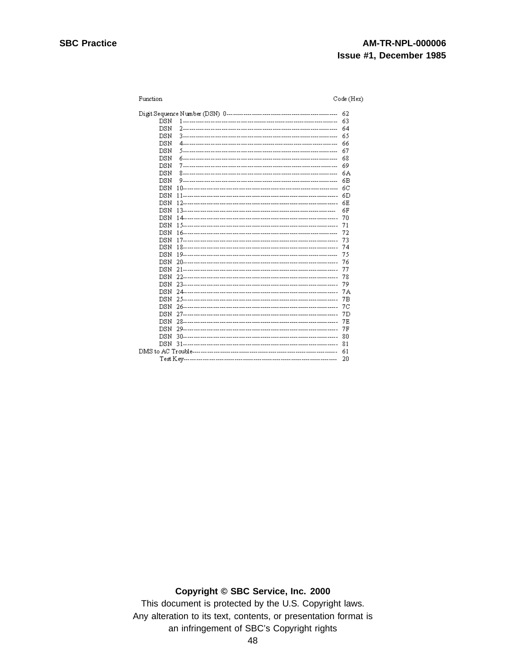## **SBC Practice AM-TR-NPL-000006 Issue #1, December 1985**

| Function | Code (Hex) |
|----------|------------|
|          | 62         |
| DSN      | 63         |
| DSN      | 64         |
| DSN      | 65         |
| DSN      | 66         |
| DSN      | 67         |
| DSN      | 68         |
| DSN      | 69         |
| DSN      | бA         |
| DSN      | бB         |
| DSN      | 6С         |
| DSN      | бD         |
| DSN      | 6Е         |
| DSN      | 6F         |
| DSN      | 70         |
| DSN      | 71         |
| DSN      | 72         |
| DSN      | 73         |
| DSN      | 74         |
| DSN      | 75         |
| DSN      | 76         |
| DSN      | 77         |
| DSN      | 78         |
| DSN      | 79         |
| DSN      | 7Α         |
| DSN      | 7В         |
| DSN      | 7С         |
| DSN      | 7D         |
| DSN      | 7Ε         |
| DSN      | 7F         |
| DSN      | 80         |
| DSN      | 81         |
|          | 61         |
|          | 20         |

## **Copyright © SBC Service, Inc. 2000**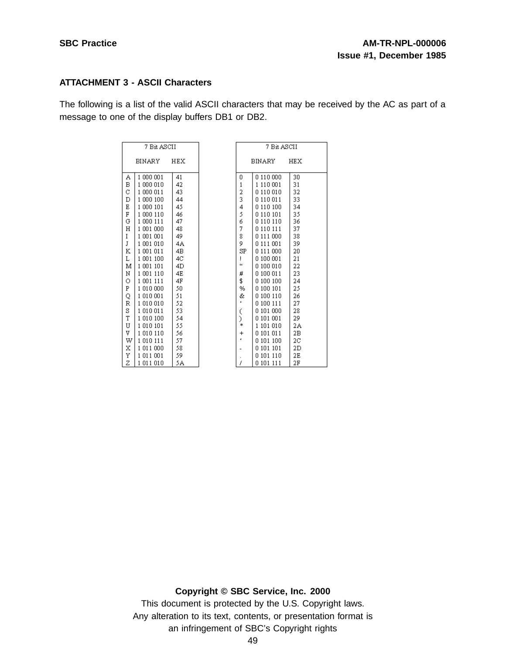#### **ATTACHMENT 3 - ASCII Characters**

The following is a list of the valid ASCII characters that may be received by the AC as part of a message to one of the display buffers DB1 or DB2.

 ${\tt HEX}$ 

 $\overline{30}$ 

31

32

33

34

35 36

37

38

39

 $20$ 

 $21\,$ 

22

23

24

25

 $26\,$ 

27

28

29

 $2A$ 

 $2B$ 

 $2\mathrm{C}$ 

 $_{\rm 2D}$ 

 $2\mathbb{E}$  $2\mathrm{F}$ 

| 7 Bit ASCH |   |               | 7 Bit ASCH- |    |              |                 |
|------------|---|---------------|-------------|----|--------------|-----------------|
|            |   | <b>BINARY</b> | HEX         |    | BINARY       | HE <sub>2</sub> |
|            | Α | 1 000 001     | 41          | 0  | 0 110 000    | 30              |
|            | В | 1 000 010     | 42          | 1  | 1 110 001    | 31              |
|            | C | 1 000 011     | 43          | 2  | 0 110 010    | 32              |
|            | D | 1 000 100     | 44          | 3  | 0 110 011    | 33              |
|            | E | 1 000 101     | 45          | 4  | 0 110 100    | 34              |
|            | F | 1 000 110     | 46          | 5  | 0 110 101    | 35              |
|            | G | 1 000 111     | 47          | 6  | 0 110 110    | 36              |
|            | Η | 1 001 000     | 48          | 7  | 0 110 111    | 37              |
|            | I | 1 001 001     | 49          | 8  | 0 111 000    | 38              |
|            | J | 1 001 010     | 4Α          | 9  | 0 11 1 0 0 1 | 39              |
|            | K | 1 001 011     | 4B          | SP | 0 11 1 00 0  | 20              |
|            | Г | 1 001 100     | 4C          |    | 0 100 001    | 21              |
|            | М | 1 001 101     | 4D          | cc | 0 100 010    | 22              |
|            | И | 1 001 110     | 4E          | #  | 0 100 011    | 23              |
|            | О | 1 001 111     | 4F          | \$ | 0 100 100    | 24              |
|            | P | 1 010 000     | 50          | %  | 0 100 101    | 25              |
|            | Q | 1 010 001     | 51          | &  | 0 100 110    | 26              |
|            | R | 1 010 010     | 52          | c. | 0 100 111    | 27              |
|            | S | 1 010 011     | 53          | (  | 0 101 000    | 28              |
|            | T | 1 010 100     | 54          | )  | 0 101 001    | 29              |
|            | U | 1 010 101     | 55          | *  | 1 101 010    | 21              |
|            | V | 1 010 110     | 56          | +  | 101 011<br>0 | 2Ε              |
|            | W | 1 010 111     | 57          | c  | 0 101 100    | 20              |
|            | Χ | 1 011 000     | 58          |    | 101 101<br>0 | 2Ι              |
|            | Υ | 1 011 001     | 59          |    | 0 101 110    | 2Ε              |
|            | Ζ | 1 011 010     | 5Α          | f  | 0 101 111    | 2F              |

#### **Copyright © SBC Service, Inc. 2000**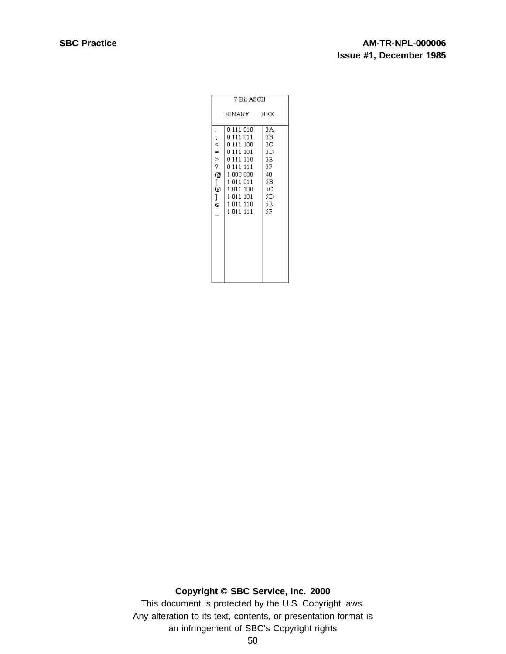| 7 Bit ASCH                 |                                                                                                                                                           |                                                                       |  |  |  |  |  |
|----------------------------|-----------------------------------------------------------------------------------------------------------------------------------------------------------|-----------------------------------------------------------------------|--|--|--|--|--|
|                            | BINARY<br>HEX                                                                                                                                             |                                                                       |  |  |  |  |  |
| ∶ , < = > ? @[ ®<br>J<br>Ó | 0 11 1 0 1 0<br>0 11 1 01 1<br>0 111 100<br>0 111 101<br>0 11 1 11 0<br>0 11 1 11 1<br>1 000 000<br>1011011<br>1 011 100<br>1011101<br>1011110<br>1011111 | 3A<br>3В<br>3С.<br>3D<br>3E<br>3F<br>40<br>5В<br>5C<br>5D<br>5E<br>5F |  |  |  |  |  |

## **Copyright © SBC Service, Inc. 2000**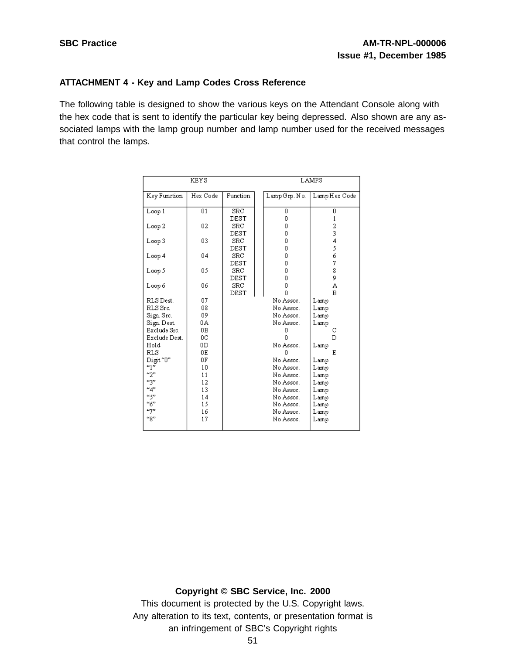#### **ATTACHMENT 4 - Key and Lamp Codes Cross Reference**

The following table is designed to show the various keys on the Attendant Console along with the hex code that is sent to identify the particular key being depressed. Also shown are any associated lamps with the lamp group number and lamp number used for the received messages that control the lamps.

| <b>KEYS</b>   |                |              |  | LAMPS        |               |  |
|---------------|----------------|--------------|--|--------------|---------------|--|
| Key Function  | Hex Code       | Function     |  | LampGrp. No. | Lamp Hex Code |  |
| Loop 1        | 01             | <b>SRC</b>   |  | 0            | 0             |  |
|               |                | DEST         |  | 0            | $\mathbf{1}$  |  |
| Loop 2        | 02             | $_{\rm SRC}$ |  | n            | 2             |  |
|               |                | DEST         |  | 0            | 3             |  |
| Loop 3        | 03             | $_{\rm SRC}$ |  | 0            | 4             |  |
|               |                | DEST         |  | 0            | 5             |  |
| Loop 4        | 04             | $_{\rm SRC}$ |  | 0            | 6             |  |
|               |                | DEST         |  | 0            | 7             |  |
| Loop 5        | 05             | $_{\rm SRC}$ |  | 0            | 8             |  |
|               |                | DEST         |  | 0            | 9             |  |
| Loop б        | 06             | SRC          |  | Ω            | А             |  |
|               |                | DEST         |  | n            | B             |  |
| RLS Dest.     | 07             |              |  | No Assoc.    | Lamp          |  |
| RLS Src.      | 08             |              |  | No Assoc.    | Lamp          |  |
| Sign. Src.    | 09             |              |  | No Assoc.    | Lamp          |  |
| Sign. Dest.   | 0A             |              |  | No Assoc.    | Lamp          |  |
| Exclude Src.  | OΒ             |              |  | Ω            | С             |  |
| Exclude Dest. | 0 <sup>C</sup> |              |  | n            | Đ             |  |
| Hold          | 0D             |              |  | No Assoc.    | Lamp          |  |
| RLS           | 0E             |              |  | n            | Ε             |  |
| Digit"0"      | 0F             |              |  | No Assoc.    | Lamp          |  |
| "1"           | 10             |              |  | No Assoc.    | Lamp          |  |
| "2"           | 11             |              |  | No Assoc.    | Lamp          |  |
| "?"           | 12             |              |  | No Assoc.    | Lamp          |  |
| "4"           | 13             |              |  | No Assoc.    | Lamp          |  |
| "5"           | 14             |              |  | No Assoc.    | Lamp          |  |
| "6"           | 15             |              |  | No Assoc.    | Lamp          |  |
| $-7$          | 16             |              |  | No Assoc.    | Lamp          |  |
| "8"           | 17             |              |  | No Assoc.    | Lamp          |  |
|               |                |              |  |              |               |  |

#### **Copyright © SBC Service, Inc. 2000**